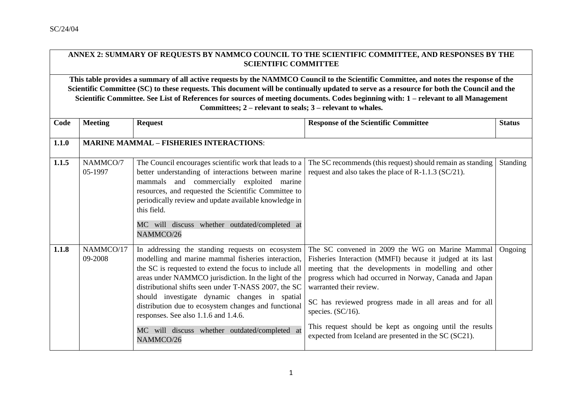## **ANNEX 2: SUMMARY OF REQUESTS BY NAMMCO COUNCIL TO THE SCIENTIFIC COMMITTEE, AND RESPONSES BY THE SCIENTIFIC COMMITTEE**

**This table provides a summary of all active requests by the NAMMCO Council to the Scientific Committee, and notes the response of the Scientific Committee (SC) to these requests. This document will be continually updated to serve as a resource for both the Council and the Scientific Committee. See List of References for sources of meeting documents. Codes beginning with: 1 – relevant to all Management Committees; 2 – relevant to seals; 3 – relevant to whales.**

| Code  | <b>Meeting</b>       | <b>Request</b>                                                                                                                                                                                                                                                                                                                                                                                                                                                                                  | <b>Response of the Scientific Committee</b>                                                                                                                                                                                                                                                                                                                                                                                                                        | <b>Status</b>   |
|-------|----------------------|-------------------------------------------------------------------------------------------------------------------------------------------------------------------------------------------------------------------------------------------------------------------------------------------------------------------------------------------------------------------------------------------------------------------------------------------------------------------------------------------------|--------------------------------------------------------------------------------------------------------------------------------------------------------------------------------------------------------------------------------------------------------------------------------------------------------------------------------------------------------------------------------------------------------------------------------------------------------------------|-----------------|
| 1.1.0 |                      | <b>MARINE MAMMAL - FISHERIES INTERACTIONS:</b>                                                                                                                                                                                                                                                                                                                                                                                                                                                  |                                                                                                                                                                                                                                                                                                                                                                                                                                                                    |                 |
| 1.1.5 | NAMMCO/7<br>05-1997  | The Council encourages scientific work that leads to a<br>better understanding of interactions between marine<br>mammals and commercially exploited marine<br>resources, and requested the Scientific Committee to<br>periodically review and update available knowledge in<br>this field.<br>MC will discuss whether outdated/completed at<br>NAMMCO/26                                                                                                                                        | The SC recommends (this request) should remain as standing<br>request and also takes the place of R-1.1.3 ( $SC/21$ ).                                                                                                                                                                                                                                                                                                                                             | <b>Standing</b> |
| 1.1.8 | NAMMCO/17<br>09-2008 | In addressing the standing requests on ecosystem<br>modelling and marine mammal fisheries interaction,<br>the SC is requested to extend the focus to include all<br>areas under NAMMCO jurisdiction. In the light of the<br>distributional shifts seen under T-NASS 2007, the SC<br>should investigate dynamic changes in spatial<br>distribution due to ecosystem changes and functional<br>responses. See also 1.1.6 and 1.4.6.<br>MC will discuss whether outdated/completed at<br>NAMMCO/26 | The SC convened in 2009 the WG on Marine Mammal<br>Fisheries Interaction (MMFI) because it judged at its last<br>meeting that the developments in modelling and other<br>progress which had occurred in Norway, Canada and Japan<br>warranted their review.<br>SC has reviewed progress made in all areas and for all<br>species. $(SC/16)$ .<br>This request should be kept as ongoing until the results<br>expected from Iceland are presented in the SC (SC21). | Ongoing         |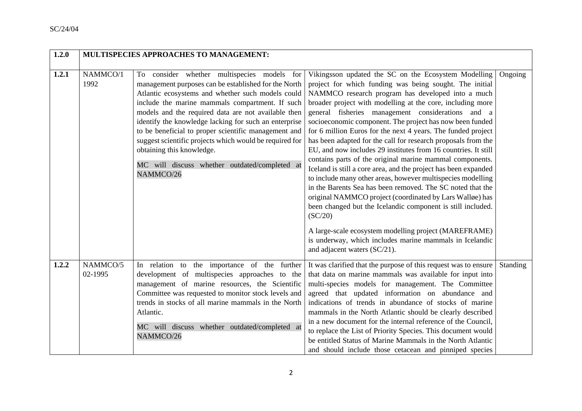| 1.2.0 |                     | <b>MULTISPECIES APPROACHES TO MANAGEMENT:</b>                                                                                                                                                                                                                                                                                                                                                                                                                                                                                             |                                                                                                                                                                                                                                                                                                                                                                                                                                                                                                                                                                                                                                                                                                                                                                                                                                                                                                                                                                                                                                                                                                              |                 |
|-------|---------------------|-------------------------------------------------------------------------------------------------------------------------------------------------------------------------------------------------------------------------------------------------------------------------------------------------------------------------------------------------------------------------------------------------------------------------------------------------------------------------------------------------------------------------------------------|--------------------------------------------------------------------------------------------------------------------------------------------------------------------------------------------------------------------------------------------------------------------------------------------------------------------------------------------------------------------------------------------------------------------------------------------------------------------------------------------------------------------------------------------------------------------------------------------------------------------------------------------------------------------------------------------------------------------------------------------------------------------------------------------------------------------------------------------------------------------------------------------------------------------------------------------------------------------------------------------------------------------------------------------------------------------------------------------------------------|-----------------|
| 1.2.1 | NAMMCO/1<br>1992    | To consider whether multispecies models for<br>management purposes can be established for the North<br>Atlantic ecosystems and whether such models could<br>include the marine mammals compartment. If such<br>models and the required data are not available then<br>identify the knowledge lacking for such an enterprise<br>to be beneficial to proper scientific management and<br>suggest scientific projects which would be required for<br>obtaining this knowledge.<br>MC will discuss whether outdated/completed at<br>NAMMCO/26 | Vikingsson updated the SC on the Ecosystem Modelling<br>project for which funding was being sought. The initial<br>NAMMCO research program has developed into a much<br>broader project with modelling at the core, including more<br>general fisheries management considerations and a<br>socioeconomic component. The project has now been funded<br>for 6 million Euros for the next 4 years. The funded project<br>has been adapted for the call for research proposals from the<br>EU, and now includes 29 institutes from 16 countries. It still<br>contains parts of the original marine mammal components.<br>Iceland is still a core area, and the project has been expanded<br>to include many other areas, however multispecies modelling<br>in the Barents Sea has been removed. The SC noted that the<br>original NAMMCO project (coordinated by Lars Walløe) has<br>been changed but the Icelandic component is still included.<br>(SC/20)<br>A large-scale ecosystem modelling project (MAREFRAME)<br>is underway, which includes marine mammals in Icelandic<br>and adjacent waters (SC/21). | Ongoing         |
| 1.2.2 | NAMMCO/5<br>02-1995 | In relation to the importance of the further<br>development of multispecies approaches to the<br>management of marine resources, the Scientific<br>Committee was requested to monitor stock levels and<br>trends in stocks of all marine mammals in the North<br>Atlantic.<br>MC will discuss whether outdated/completed at<br>NAMMCO/26                                                                                                                                                                                                  | It was clarified that the purpose of this request was to ensure<br>that data on marine mammals was available for input into<br>multi-species models for management. The Committee<br>agreed that updated information on abundance and<br>indications of trends in abundance of stocks of marine<br>mammals in the North Atlantic should be clearly described<br>in a new document for the internal reference of the Council,<br>to replace the List of Priority Species. This document would<br>be entitled Status of Marine Mammals in the North Atlantic<br>and should include those cetacean and pinniped species                                                                                                                                                                                                                                                                                                                                                                                                                                                                                         | <b>Standing</b> |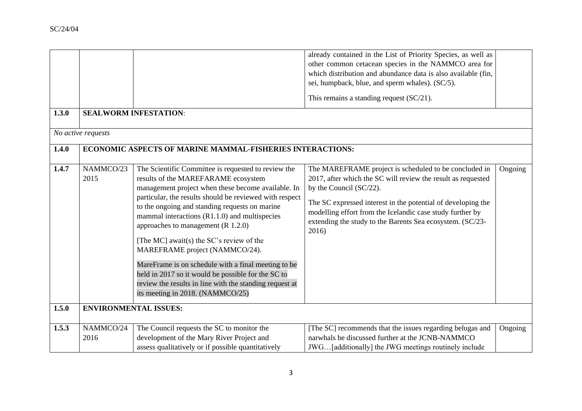|       |                              |                                                                                                                                                                                                                                                                                                                                                                                                                                                                                                                                                                                                                                                    | already contained in the List of Priority Species, as well as<br>other common cetacean species in the NAMMCO area for<br>which distribution and abundance data is also available (fin,<br>sei, humpback, blue, and sperm whales). (SC/5).                                                                                                             |         |
|-------|------------------------------|----------------------------------------------------------------------------------------------------------------------------------------------------------------------------------------------------------------------------------------------------------------------------------------------------------------------------------------------------------------------------------------------------------------------------------------------------------------------------------------------------------------------------------------------------------------------------------------------------------------------------------------------------|-------------------------------------------------------------------------------------------------------------------------------------------------------------------------------------------------------------------------------------------------------------------------------------------------------------------------------------------------------|---------|
|       |                              |                                                                                                                                                                                                                                                                                                                                                                                                                                                                                                                                                                                                                                                    | This remains a standing request $(SC/21)$ .                                                                                                                                                                                                                                                                                                           |         |
| 1.3.0 |                              | <b>SEALWORM INFESTATION:</b>                                                                                                                                                                                                                                                                                                                                                                                                                                                                                                                                                                                                                       |                                                                                                                                                                                                                                                                                                                                                       |         |
|       | No active requests           |                                                                                                                                                                                                                                                                                                                                                                                                                                                                                                                                                                                                                                                    |                                                                                                                                                                                                                                                                                                                                                       |         |
| 1.4.0 |                              | ECONOMIC ASPECTS OF MARINE MAMMAL-FISHERIES INTERACTIONS:                                                                                                                                                                                                                                                                                                                                                                                                                                                                                                                                                                                          |                                                                                                                                                                                                                                                                                                                                                       |         |
| 1.4.7 | NAMMCO/23<br>2015            | The Scientific Committee is requested to review the<br>results of the MAREFARAME ecosystem<br>management project when these become available. In<br>particular, the results should be reviewed with respect<br>to the ongoing and standing requests on marine<br>mammal interactions $(R1.1.0)$ and multispecies<br>approaches to management $(R 1.2.0)$<br>[The MC] await(s) the SC's review of the<br>MAREFRAME project (NAMMCO/24).<br>MareFrame is on schedule with a final meeting to be<br>held in 2017 so it would be possible for the SC to<br>review the results in line with the standing request at<br>its meeting in 2018. (NAMMCO/25) | The MAREFRAME project is scheduled to be concluded in<br>2017, after which the SC will review the result as requested<br>by the Council $(SC/22)$ .<br>The SC expressed interest in the potential of developing the<br>modelling effort from the Icelandic case study further by<br>extending the study to the Barents Sea ecosystem. (SC/23-<br>2016 | Ongoing |
| 1.5.0 | <b>ENVIRONMENTAL ISSUES:</b> |                                                                                                                                                                                                                                                                                                                                                                                                                                                                                                                                                                                                                                                    |                                                                                                                                                                                                                                                                                                                                                       |         |
| 1.5.3 | NAMMCO/24<br>2016            | The Council requests the SC to monitor the<br>development of the Mary River Project and<br>assess qualitatively or if possible quantitatively                                                                                                                                                                                                                                                                                                                                                                                                                                                                                                      | [The SC] recommends that the issues regarding belugas and<br>narwhals be discussed further at the JCNB-NAMMCO<br>JWG[additionally] the JWG meetings routinely include                                                                                                                                                                                 | Ongoing |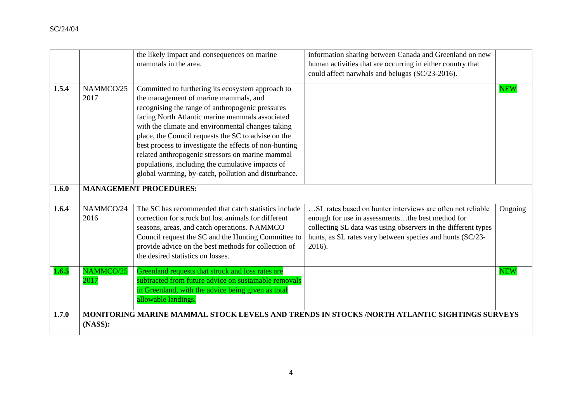|       |                   | the likely impact and consequences on marine<br>mammals in the area.                                                                                                                                                                                                                                                                                                                                                                                                                                                                    | information sharing between Canada and Greenland on new<br>human activities that are occurring in either country that<br>could affect narwhals and belugas (SC/23-2016).                                                                               |            |
|-------|-------------------|-----------------------------------------------------------------------------------------------------------------------------------------------------------------------------------------------------------------------------------------------------------------------------------------------------------------------------------------------------------------------------------------------------------------------------------------------------------------------------------------------------------------------------------------|--------------------------------------------------------------------------------------------------------------------------------------------------------------------------------------------------------------------------------------------------------|------------|
| 1.5.4 | NAMMCO/25<br>2017 | Committed to furthering its ecosystem approach to<br>the management of marine mammals, and<br>recognising the range of anthropogenic pressures<br>facing North Atlantic marine mammals associated<br>with the climate and environmental changes taking<br>place, the Council requests the SC to advise on the<br>best process to investigate the effects of non-hunting<br>related anthropogenic stressors on marine mammal<br>populations, including the cumulative impacts of<br>global warming, by-catch, pollution and disturbance. |                                                                                                                                                                                                                                                        | <b>NEW</b> |
| 1.6.0 |                   | <b>MANAGEMENT PROCEDURES:</b>                                                                                                                                                                                                                                                                                                                                                                                                                                                                                                           |                                                                                                                                                                                                                                                        |            |
| 1.6.4 | NAMMCO/24<br>2016 | The SC has recommended that catch statistics include<br>correction for struck but lost animals for different<br>seasons, areas, and catch operations. NAMMCO<br>Council request the SC and the Hunting Committee to<br>provide advice on the best methods for collection of<br>the desired statistics on losses.                                                                                                                                                                                                                        | SL rates based on hunter interviews are often not reliable<br>enough for use in assessmentsthe best method for<br>collecting SL data was using observers in the different types<br>hunts, as SL rates vary between species and hunts (SC/23-<br>2016). | Ongoing    |
| 1.6.5 | NAMMCO/25<br>2017 | Greenland requests that struck and loss rates are<br>subtracted from future advice on sustainable removals<br>in Greenland, with the advice being given as total<br>allowable landings.                                                                                                                                                                                                                                                                                                                                                 |                                                                                                                                                                                                                                                        | <b>NEW</b> |
| 1.7.0 | (NASS):           |                                                                                                                                                                                                                                                                                                                                                                                                                                                                                                                                         | MONITORING MARINE MAMMAL STOCK LEVELS AND TRENDS IN STOCKS /NORTH ATLANTIC SIGHTINGS SURVEYS                                                                                                                                                           |            |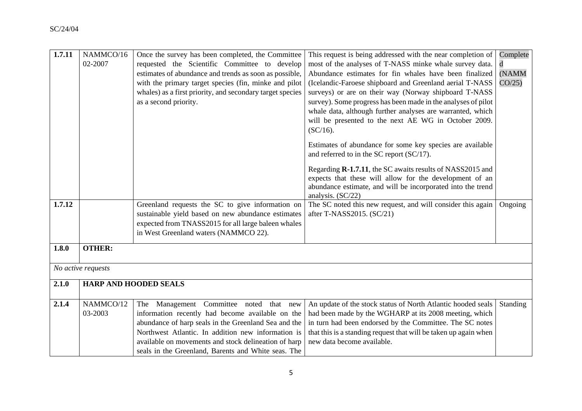| 1.7.11 | NAMMCO/16          | Once the survey has been completed, the Committee         | This request is being addressed with the near completion of       | Complete |
|--------|--------------------|-----------------------------------------------------------|-------------------------------------------------------------------|----------|
|        | 02-2007            | requested the Scientific Committee to develop             | most of the analyses of T-NASS minke whale survey data.           |          |
|        |                    | estimates of abundance and trends as soon as possible,    | Abundance estimates for fin whales have been finalized            | (NAMM    |
|        |                    | with the primary target species (fin, minke and pilot     | (Icelandic-Faroese shipboard and Greenland aerial T-NASS          | CO/25    |
|        |                    | whales) as a first priority, and secondary target species | surveys) or are on their way (Norway shipboard T-NASS             |          |
|        |                    | as a second priority.                                     | survey). Some progress has been made in the analyses of pilot     |          |
|        |                    |                                                           | whale data, although further analyses are warranted, which        |          |
|        |                    |                                                           | will be presented to the next AE WG in October 2009.              |          |
|        |                    |                                                           | $(SC/16)$ .                                                       |          |
|        |                    |                                                           | Estimates of abundance for some key species are available         |          |
|        |                    |                                                           | and referred to in the SC report (SC/17).                         |          |
|        |                    |                                                           | Regarding <b>R-1.7.11</b> , the SC awaits results of NASS2015 and |          |
|        |                    |                                                           | expects that these will allow for the development of an           |          |
|        |                    |                                                           | abundance estimate, and will be incorporated into the trend       |          |
|        |                    |                                                           | analysis. (SC/22)                                                 |          |
| 1.7.12 |                    | Greenland requests the SC to give information on          | The SC noted this new request, and will consider this again       | Ongoing  |
|        |                    | sustainable yield based on new abundance estimates        | after T-NASS2015. (SC/21)                                         |          |
|        |                    | expected from TNASS2015 for all large baleen whales       |                                                                   |          |
|        |                    | in West Greenland waters (NAMMCO 22).                     |                                                                   |          |
| 1.8.0  | <b>OTHER:</b>      |                                                           |                                                                   |          |
|        |                    |                                                           |                                                                   |          |
|        | No active requests |                                                           |                                                                   |          |
| 2.1.0  |                    | <b>HARP AND HOODED SEALS</b>                              |                                                                   |          |
|        |                    |                                                           |                                                                   |          |
| 2.1.4  | NAMMCO/12          | Management Committee noted that new<br>The                | An update of the stock status of North Atlantic hooded seals      | Standing |
|        | 03-2003            | information recently had become available on the          | had been made by the WGHARP at its 2008 meeting, which            |          |
|        |                    | abundance of harp seals in the Greenland Sea and the      | in turn had been endorsed by the Committee. The SC notes          |          |
|        |                    | Northwest Atlantic. In addition new information is        | that this is a standing request that will be taken up again when  |          |
|        |                    | available on movements and stock delineation of harp      | new data become available.                                        |          |
|        |                    | seals in the Greenland, Barents and White seas. The       |                                                                   |          |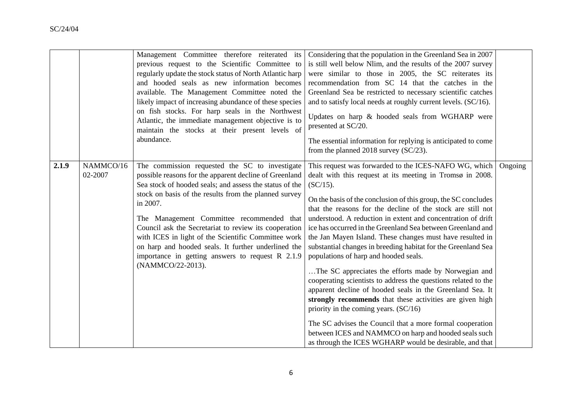|       |                      | Management Committee therefore reiterated its<br>previous request to the Scientific Committee to<br>regularly update the stock status of North Atlantic harp<br>and hooded seals as new information becomes<br>available. The Management Committee noted the<br>likely impact of increasing abundance of these species<br>on fish stocks. For harp seals in the Northwest<br>Atlantic, the immediate management objective is to<br>maintain the stocks at their present levels of<br>abundance.                                         | Considering that the population in the Greenland Sea in 2007<br>is still well below Nlim, and the results of the 2007 survey<br>were similar to those in 2005, the SC reiterates its<br>recommendation from SC 14 that the catches in the<br>Greenland Sea be restricted to necessary scientific catches<br>and to satisfy local needs at roughly current levels. (SC/16).<br>Updates on harp & hooded seals from WGHARP were<br>presented at SC/20.<br>The essential information for replying is anticipated to come<br>from the planned 2018 survey $SC/23$ .                                                                                                                                                                                                                                                                                                                                                                                                                                                                                         |         |
|-------|----------------------|-----------------------------------------------------------------------------------------------------------------------------------------------------------------------------------------------------------------------------------------------------------------------------------------------------------------------------------------------------------------------------------------------------------------------------------------------------------------------------------------------------------------------------------------|---------------------------------------------------------------------------------------------------------------------------------------------------------------------------------------------------------------------------------------------------------------------------------------------------------------------------------------------------------------------------------------------------------------------------------------------------------------------------------------------------------------------------------------------------------------------------------------------------------------------------------------------------------------------------------------------------------------------------------------------------------------------------------------------------------------------------------------------------------------------------------------------------------------------------------------------------------------------------------------------------------------------------------------------------------|---------|
| 2.1.9 | NAMMCO/16<br>02-2007 | The commission requested the SC to investigate<br>possible reasons for the apparent decline of Greenland<br>Sea stock of hooded seals; and assess the status of the<br>stock on basis of the results from the planned survey<br>in 2007.<br>The Management Committee recommended that<br>Council ask the Secretariat to review its cooperation<br>with ICES in light of the Scientific Committee work<br>on harp and hooded seals. It further underlined the<br>importance in getting answers to request $R$ 2.1.9<br>(NAMMCO/22-2013). | This request was forwarded to the ICES-NAFO WG, which<br>dealt with this request at its meeting in Tromsø in 2008.<br>$(SC/15)$ .<br>On the basis of the conclusion of this group, the SC concludes<br>that the reasons for the decline of the stock are still not<br>understood. A reduction in extent and concentration of drift<br>ice has occurred in the Greenland Sea between Greenland and<br>the Jan Mayen Island. These changes must have resulted in<br>substantial changes in breeding habitat for the Greenland Sea<br>populations of harp and hooded seals.<br>The SC appreciates the efforts made by Norwegian and<br>cooperating scientists to address the questions related to the<br>apparent decline of hooded seals in the Greenland Sea. It<br>strongly recommends that these activities are given high<br>priority in the coming years. $(SC/16)$<br>The SC advises the Council that a more formal cooperation<br>between ICES and NAMMCO on harp and hooded seals such<br>as through the ICES WGHARP would be desirable, and that | Ongoing |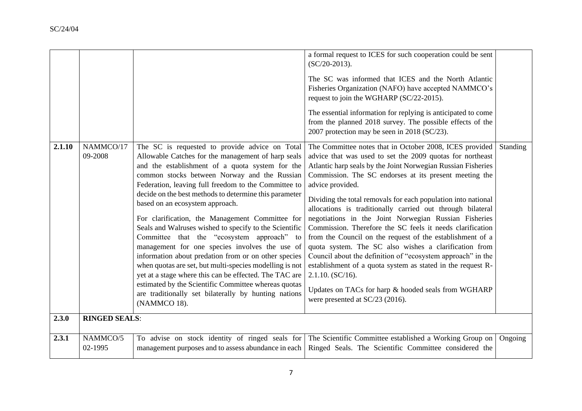|        |                      |                                                                                                                                                                                                                                                                                                                                                                                                                                                                                                                                                                                                                                                                                                                                                                                                                                                                                        | a formal request to ICES for such cooperation could be sent<br>$(SC/20-2013)$ .<br>The SC was informed that ICES and the North Atlantic<br>Fisheries Organization (NAFO) have accepted NAMMCO's<br>request to join the WGHARP (SC/22-2015).<br>The essential information for replying is anticipated to come<br>from the planned 2018 survey. The possible effects of the<br>2007 protection may be seen in 2018 (SC/23).                                                                                                                                                                                                                                                                                                                                                                                                                                                                 |          |
|--------|----------------------|----------------------------------------------------------------------------------------------------------------------------------------------------------------------------------------------------------------------------------------------------------------------------------------------------------------------------------------------------------------------------------------------------------------------------------------------------------------------------------------------------------------------------------------------------------------------------------------------------------------------------------------------------------------------------------------------------------------------------------------------------------------------------------------------------------------------------------------------------------------------------------------|-------------------------------------------------------------------------------------------------------------------------------------------------------------------------------------------------------------------------------------------------------------------------------------------------------------------------------------------------------------------------------------------------------------------------------------------------------------------------------------------------------------------------------------------------------------------------------------------------------------------------------------------------------------------------------------------------------------------------------------------------------------------------------------------------------------------------------------------------------------------------------------------|----------|
| 2.1.10 | NAMMCO/17<br>09-2008 | The SC is requested to provide advice on Total<br>Allowable Catches for the management of harp seals<br>and the establishment of a quota system for the<br>common stocks between Norway and the Russian<br>Federation, leaving full freedom to the Committee to<br>decide on the best methods to determine this parameter<br>based on an ecosystem approach.<br>For clarification, the Management Committee for<br>Seals and Walruses wished to specify to the Scientific<br>Committee that the "ecosystem approach" to<br>management for one species involves the use of<br>information about predation from or on other species<br>when quotas are set, but multi-species modelling is not<br>yet at a stage where this can be effected. The TAC are<br>estimated by the Scientific Committee whereas quotas<br>are traditionally set bilaterally by hunting nations<br>(NAMMCO 18). | The Committee notes that in October 2008, ICES provided<br>advice that was used to set the 2009 quotas for northeast<br>Atlantic harp seals by the Joint Norwegian Russian Fisheries<br>Commission. The SC endorses at its present meeting the<br>advice provided.<br>Dividing the total removals for each population into national<br>allocations is traditionally carried out through bilateral<br>negotiations in the Joint Norwegian Russian Fisheries<br>Commission. Therefore the SC feels it needs clarification<br>from the Council on the request of the establishment of a<br>quota system. The SC also wishes a clarification from<br>Council about the definition of "ecosystem approach" in the<br>establishment of a quota system as stated in the request R-<br>2.1.10. (SC/16).<br>Updates on TACs for harp & hooded seals from WGHARP<br>were presented at SC/23 (2016). | Standing |
| 2.3.0  | <b>RINGED SEALS:</b> |                                                                                                                                                                                                                                                                                                                                                                                                                                                                                                                                                                                                                                                                                                                                                                                                                                                                                        |                                                                                                                                                                                                                                                                                                                                                                                                                                                                                                                                                                                                                                                                                                                                                                                                                                                                                           |          |
| 2.3.1  | NAMMCO/5<br>02-1995  | To advise on stock identity of ringed seals for<br>management purposes and to assess abundance in each                                                                                                                                                                                                                                                                                                                                                                                                                                                                                                                                                                                                                                                                                                                                                                                 | The Scientific Committee established a Working Group on<br>Ringed Seals. The Scientific Committee considered the                                                                                                                                                                                                                                                                                                                                                                                                                                                                                                                                                                                                                                                                                                                                                                          | Ongoing  |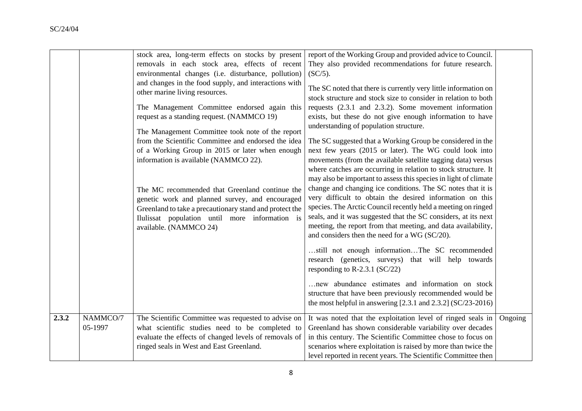|       |                     | stock area, long-term effects on stocks by present<br>removals in each stock area, effects of recent<br>environmental changes (i.e. disturbance, pollution)<br>and changes in the food supply, and interactions with<br>other marine living resources.<br>The Management Committee endorsed again this<br>request as a standing request. (NAMMCO 19)<br>The Management Committee took note of the report<br>from the Scientific Committee and endorsed the idea<br>of a Working Group in 2015 or later when enough<br>information is available (NAMMCO 22).<br>The MC recommended that Greenland continue the<br>genetic work and planned survey, and encouraged<br>Greenland to take a precautionary stand and protect the<br>Ilulissat population until more information is<br>available. (NAMMCO 24) | report of the Working Group and provided advice to Council.<br>They also provided recommendations for future research.<br>$(SC/5)$ .<br>The SC noted that there is currently very little information on<br>stock structure and stock size to consider in relation to both<br>requests (2.3.1 and 2.3.2). Some movement information<br>exists, but these do not give enough information to have<br>understanding of population structure.<br>The SC suggested that a Working Group be considered in the<br>next few years (2015 or later). The WG could look into<br>movements (from the available satellite tagging data) versus<br>where catches are occurring in relation to stock structure. It<br>may also be important to assess this species in light of climate<br>change and changing ice conditions. The SC notes that it is<br>very difficult to obtain the desired information on this<br>species. The Arctic Council recently held a meeting on ringed<br>seals, and it was suggested that the SC considers, at its next<br>meeting, the report from that meeting, and data availability,<br>and considers then the need for a WG (SC/20).<br>still not enough informationThe SC recommended<br>research (genetics, surveys) that will help towards<br>responding to R-2.3.1 ( $SC/22$ )<br>new abundance estimates and information on stock<br>structure that have been previously recommended would be<br>the most helpful in answering $[2.3.1$ and $2.3.2]$ (SC/23-2016) |         |
|-------|---------------------|---------------------------------------------------------------------------------------------------------------------------------------------------------------------------------------------------------------------------------------------------------------------------------------------------------------------------------------------------------------------------------------------------------------------------------------------------------------------------------------------------------------------------------------------------------------------------------------------------------------------------------------------------------------------------------------------------------------------------------------------------------------------------------------------------------|------------------------------------------------------------------------------------------------------------------------------------------------------------------------------------------------------------------------------------------------------------------------------------------------------------------------------------------------------------------------------------------------------------------------------------------------------------------------------------------------------------------------------------------------------------------------------------------------------------------------------------------------------------------------------------------------------------------------------------------------------------------------------------------------------------------------------------------------------------------------------------------------------------------------------------------------------------------------------------------------------------------------------------------------------------------------------------------------------------------------------------------------------------------------------------------------------------------------------------------------------------------------------------------------------------------------------------------------------------------------------------------------------------------------------------------------------------------------------------------|---------|
| 2.3.2 | NAMMCO/7<br>05-1997 | The Scientific Committee was requested to advise on<br>what scientific studies need to be completed to<br>evaluate the effects of changed levels of removals of<br>ringed seals in West and East Greenland.                                                                                                                                                                                                                                                                                                                                                                                                                                                                                                                                                                                             | It was noted that the exploitation level of ringed seals in<br>Greenland has shown considerable variability over decades<br>in this century. The Scientific Committee chose to focus on<br>scenarios where exploitation is raised by more than twice the<br>level reported in recent years. The Scientific Committee then                                                                                                                                                                                                                                                                                                                                                                                                                                                                                                                                                                                                                                                                                                                                                                                                                                                                                                                                                                                                                                                                                                                                                                | Ongoing |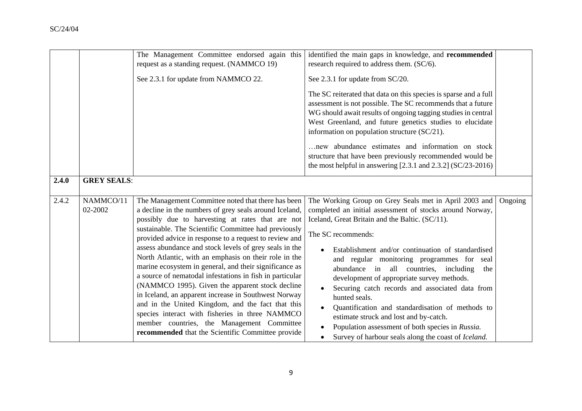|       |                      | The Management Committee endorsed again this<br>request as a standing request. (NAMMCO 19)<br>See 2.3.1 for update from NAMMCO 22.                                                                                                                                                                                                                                                                                                                                                                                                                                                                                                                                                                                                                                                                                                                | identified the main gaps in knowledge, and recommended<br>research required to address them. (SC/6).<br>See 2.3.1 for update from SC/20.<br>The SC reiterated that data on this species is sparse and a full<br>assessment is not possible. The SC recommends that a future<br>WG should await results of ongoing tagging studies in central<br>West Greenland, and future genetics studies to elucidate<br>information on population structure (SC/21).<br>new abundance estimates and information on stock<br>structure that have been previously recommended would be<br>the most helpful in answering $[2.3.1$ and $2.3.2]$ (SC/23-2016)                                        |
|-------|----------------------|---------------------------------------------------------------------------------------------------------------------------------------------------------------------------------------------------------------------------------------------------------------------------------------------------------------------------------------------------------------------------------------------------------------------------------------------------------------------------------------------------------------------------------------------------------------------------------------------------------------------------------------------------------------------------------------------------------------------------------------------------------------------------------------------------------------------------------------------------|-------------------------------------------------------------------------------------------------------------------------------------------------------------------------------------------------------------------------------------------------------------------------------------------------------------------------------------------------------------------------------------------------------------------------------------------------------------------------------------------------------------------------------------------------------------------------------------------------------------------------------------------------------------------------------------|
| 2.4.0 | <b>GREY SEALS:</b>   |                                                                                                                                                                                                                                                                                                                                                                                                                                                                                                                                                                                                                                                                                                                                                                                                                                                   |                                                                                                                                                                                                                                                                                                                                                                                                                                                                                                                                                                                                                                                                                     |
| 2.4.2 | NAMMCO/11<br>02-2002 | The Management Committee noted that there has been<br>a decline in the numbers of grey seals around Iceland,<br>possibly due to harvesting at rates that are not<br>sustainable. The Scientific Committee had previously<br>provided advice in response to a request to review and<br>assess abundance and stock levels of grey seals in the<br>North Atlantic, with an emphasis on their role in the<br>marine ecosystem in general, and their significance as<br>a source of nematodal infestations in fish in particular<br>(NAMMCO 1995). Given the apparent stock decline<br>in Iceland, an apparent increase in Southwest Norway<br>and in the United Kingdom, and the fact that this<br>species interact with fisheries in three NAMMCO<br>member countries, the Management Committee<br>recommended that the Scientific Committee provide | The Working Group on Grey Seals met in April 2003 and<br>Ongoing<br>completed an initial assessment of stocks around Norway,<br>Iceland, Great Britain and the Baltic. (SC/11).<br>The SC recommends:<br>Establishment and/or continuation of standardised<br>and regular monitoring programmes for seal<br>abundance in all countries, including<br>the<br>development of appropriate survey methods.<br>Securing catch records and associated data from<br>hunted seals.<br>Quantification and standardisation of methods to<br>estimate struck and lost and by-catch.<br>Population assessment of both species in Russia.<br>Survey of harbour seals along the coast of Iceland. |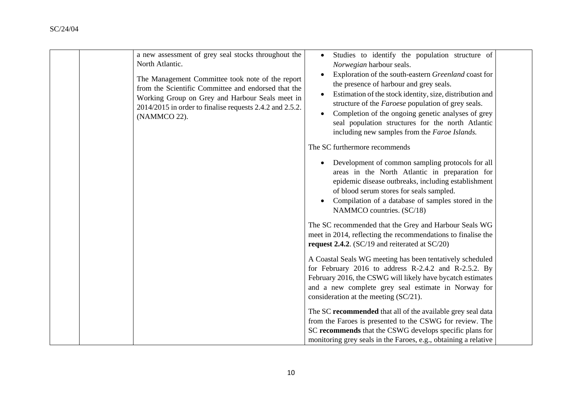| a new assessment of grey seal stocks throughout the<br>North Atlantic.<br>The Management Committee took note of the report<br>from the Scientific Committee and endorsed that the<br>Working Group on Grey and Harbour Seals meet in<br>2014/2015 in order to finalise requests 2.4.2 and 2.5.2.<br>(NAMMCO 22). | Studies to identify the population structure of<br>Norwegian harbour seals.<br>Exploration of the south-eastern Greenland coast for<br>$\bullet$<br>the presence of harbour and grey seals.<br>Estimation of the stock identity, size, distribution and<br>$\bullet$<br>structure of the <i>Faroese</i> population of grey seals.<br>Completion of the ongoing genetic analyses of grey<br>$\bullet$<br>seal population structures for the north Atlantic<br>including new samples from the Faroe Islands.<br>The SC furthermore recommends |
|------------------------------------------------------------------------------------------------------------------------------------------------------------------------------------------------------------------------------------------------------------------------------------------------------------------|---------------------------------------------------------------------------------------------------------------------------------------------------------------------------------------------------------------------------------------------------------------------------------------------------------------------------------------------------------------------------------------------------------------------------------------------------------------------------------------------------------------------------------------------|
|                                                                                                                                                                                                                                                                                                                  | Development of common sampling protocols for all<br>areas in the North Atlantic in preparation for<br>epidemic disease outbreaks, including establishment<br>of blood serum stores for seals sampled.<br>Compilation of a database of samples stored in the<br>$\bullet$<br>NAMMCO countries. (SC/18)                                                                                                                                                                                                                                       |
|                                                                                                                                                                                                                                                                                                                  | The SC recommended that the Grey and Harbour Seals WG<br>meet in 2014, reflecting the recommendations to finalise the<br>request 2.4.2. (SC/19 and reiterated at SC/20)                                                                                                                                                                                                                                                                                                                                                                     |
|                                                                                                                                                                                                                                                                                                                  | A Coastal Seals WG meeting has been tentatively scheduled<br>for February 2016 to address R-2.4.2 and R-2.5.2. By<br>February 2016, the CSWG will likely have bycatch estimates<br>and a new complete grey seal estimate in Norway for<br>consideration at the meeting (SC/21).                                                                                                                                                                                                                                                             |
|                                                                                                                                                                                                                                                                                                                  | The SC recommended that all of the available grey seal data<br>from the Faroes is presented to the CSWG for review. The<br>SC recommends that the CSWG develops specific plans for<br>monitoring grey seals in the Faroes, e.g., obtaining a relative                                                                                                                                                                                                                                                                                       |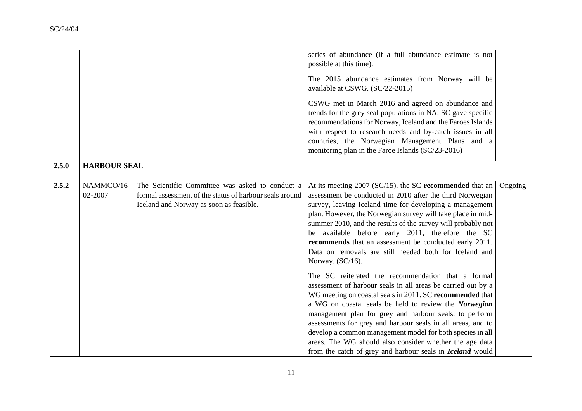|       |                      |                                                                                                                                                       | series of abundance (if a full abundance estimate is not<br>possible at this time).<br>The 2015 abundance estimates from Norway will be<br>available at CSWG. (SC/22-2015)<br>CSWG met in March 2016 and agreed on abundance and<br>trends for the grey seal populations in NA. SC gave specific<br>recommendations for Norway, Iceland and the Faroes Islands<br>with respect to research needs and by-catch issues in all                                                                                                                                       |         |
|-------|----------------------|-------------------------------------------------------------------------------------------------------------------------------------------------------|-------------------------------------------------------------------------------------------------------------------------------------------------------------------------------------------------------------------------------------------------------------------------------------------------------------------------------------------------------------------------------------------------------------------------------------------------------------------------------------------------------------------------------------------------------------------|---------|
|       |                      |                                                                                                                                                       | countries, the Norwegian Management Plans and a<br>monitoring plan in the Faroe Islands (SC/23-2016)                                                                                                                                                                                                                                                                                                                                                                                                                                                              |         |
| 2.5.0 | <b>HARBOUR SEAL</b>  |                                                                                                                                                       |                                                                                                                                                                                                                                                                                                                                                                                                                                                                                                                                                                   |         |
| 2.5.2 | NAMMCO/16<br>02-2007 | The Scientific Committee was asked to conduct a<br>formal assessment of the status of harbour seals around<br>Iceland and Norway as soon as feasible. | At its meeting 2007 (SC/15), the SC recommended that an<br>assessment be conducted in 2010 after the third Norwegian<br>survey, leaving Iceland time for developing a management<br>plan. However, the Norwegian survey will take place in mid-<br>summer 2010, and the results of the survey will probably not<br>be available before early 2011, therefore the SC<br>recommends that an assessment be conducted early 2011.<br>Data on removals are still needed both for Iceland and<br>Norway. (SC/16).<br>The SC reiterated the recommendation that a formal | Ongoing |
|       |                      |                                                                                                                                                       | assessment of harbour seals in all areas be carried out by a<br>WG meeting on coastal seals in 2011. SC recommended that<br>a WG on coastal seals be held to review the Norwegian<br>management plan for grey and harbour seals, to perform<br>assessments for grey and harbour seals in all areas, and to<br>develop a common management model for both species in all<br>areas. The WG should also consider whether the age data<br>from the catch of grey and harbour seals in <i>Iceland</i> would                                                            |         |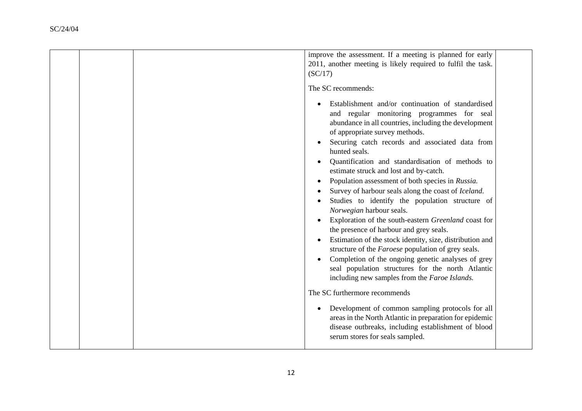|  | improve the assessment. If a meeting is planned for early<br>2011, another meeting is likely required to fulfil the task.<br>(SC/17)                                                                                                                                                                                                                                                                                                                                                                                                                                                                                                                                                                                                                                                                                                                  |
|--|-------------------------------------------------------------------------------------------------------------------------------------------------------------------------------------------------------------------------------------------------------------------------------------------------------------------------------------------------------------------------------------------------------------------------------------------------------------------------------------------------------------------------------------------------------------------------------------------------------------------------------------------------------------------------------------------------------------------------------------------------------------------------------------------------------------------------------------------------------|
|  | The SC recommends:                                                                                                                                                                                                                                                                                                                                                                                                                                                                                                                                                                                                                                                                                                                                                                                                                                    |
|  | Establishment and/or continuation of standardised<br>and regular monitoring programmes for seal<br>abundance in all countries, including the development<br>of appropriate survey methods.<br>Securing catch records and associated data from<br>hunted seals.<br>Quantification and standardisation of methods to<br>estimate struck and lost and by-catch.<br>Population assessment of both species in Russia.<br>$\bullet$<br>Survey of harbour seals along the coast of Iceland.<br>Studies to identify the population structure of<br>Norwegian harbour seals.<br>Exploration of the south-eastern Greenland coast for<br>the presence of harbour and grey seals.<br>Estimation of the stock identity, size, distribution and<br>structure of the <i>Faroese</i> population of grey seals.<br>Completion of the ongoing genetic analyses of grey |
|  | seal population structures for the north Atlantic<br>including new samples from the Faroe Islands.                                                                                                                                                                                                                                                                                                                                                                                                                                                                                                                                                                                                                                                                                                                                                    |
|  | The SC furthermore recommends                                                                                                                                                                                                                                                                                                                                                                                                                                                                                                                                                                                                                                                                                                                                                                                                                         |
|  | Development of common sampling protocols for all<br>$\bullet$<br>areas in the North Atlantic in preparation for epidemic<br>disease outbreaks, including establishment of blood<br>serum stores for seals sampled.                                                                                                                                                                                                                                                                                                                                                                                                                                                                                                                                                                                                                                    |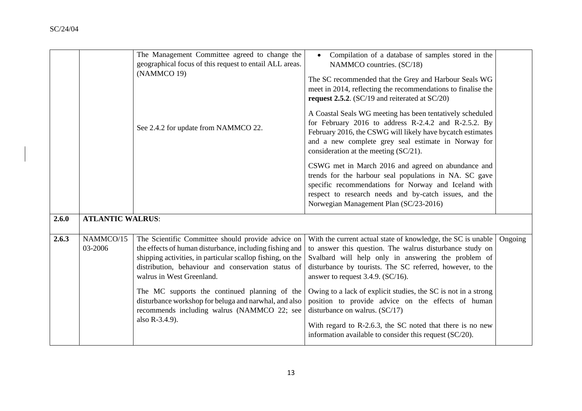|       |                         | The Management Committee agreed to change the<br>geographical focus of this request to entail ALL areas.<br>(NAMMCO 19)                                                                                                                                       | Compilation of a database of samples stored in the<br>$\bullet$<br>NAMMCO countries. (SC/18)<br>The SC recommended that the Grey and Harbour Seals WG<br>meet in 2014, reflecting the recommendations to finalise the<br>request 2.5.2. (SC/19 and reiterated at SC/20)              |         |
|-------|-------------------------|---------------------------------------------------------------------------------------------------------------------------------------------------------------------------------------------------------------------------------------------------------------|--------------------------------------------------------------------------------------------------------------------------------------------------------------------------------------------------------------------------------------------------------------------------------------|---------|
|       |                         | See 2.4.2 for update from NAMMCO 22.                                                                                                                                                                                                                          | A Coastal Seals WG meeting has been tentatively scheduled<br>for February 2016 to address R-2.4.2 and R-2.5.2. By<br>February 2016, the CSWG will likely have bycatch estimates<br>and a new complete grey seal estimate in Norway for<br>consideration at the meeting (SC/21).      |         |
|       |                         |                                                                                                                                                                                                                                                               | CSWG met in March 2016 and agreed on abundance and<br>trends for the harbour seal populations in NA. SC gave<br>specific recommendations for Norway and Iceland with<br>respect to research needs and by-catch issues, and the<br>Norwegian Management Plan (SC/23-2016)             |         |
| 2.6.0 | <b>ATLANTIC WALRUS:</b> |                                                                                                                                                                                                                                                               |                                                                                                                                                                                                                                                                                      |         |
| 2.6.3 | NAMMCO/15<br>03-2006    | The Scientific Committee should provide advice on<br>the effects of human disturbance, including fishing and<br>shipping activities, in particular scallop fishing, on the<br>distribution, behaviour and conservation status of<br>walrus in West Greenland. | With the current actual state of knowledge, the SC is unable<br>to answer this question. The walrus disturbance study on<br>Svalbard will help only in answering the problem of<br>disturbance by tourists. The SC referred, however, to the<br>answer to request 3.4.9. $(SC/16)$ . | Ongoing |
|       |                         | The MC supports the continued planning of the<br>disturbance workshop for beluga and narwhal, and also<br>recommends including walrus (NAMMCO 22; see<br>also R-3.4.9).                                                                                       | Owing to a lack of explicit studies, the SC is not in a strong<br>position to provide advice on the effects of human<br>disturbance on walrus. $(SC/17)$                                                                                                                             |         |
|       |                         |                                                                                                                                                                                                                                                               | With regard to R-2.6.3, the SC noted that there is no new<br>information available to consider this request (SC/20).                                                                                                                                                                 |         |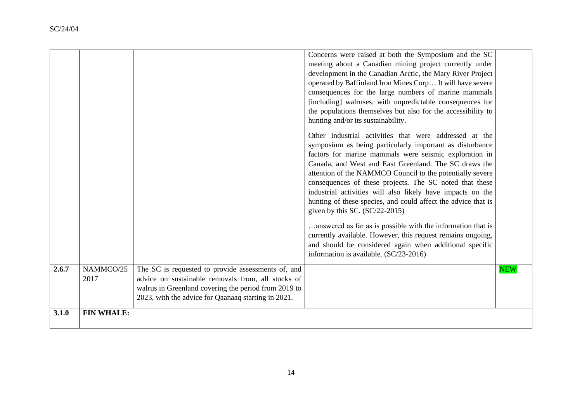|       |                   |                                                                                                                                                                                                                         | Concerns were raised at both the Symposium and the SC<br>meeting about a Canadian mining project currently under<br>development in the Canadian Arctic, the Mary River Project<br>operated by Baffinland Iron Mines Corp It will have severe<br>consequences for the large numbers of marine mammals<br>[including] walruses, with unpredictable consequences for<br>the populations themselves but also for the accessibility to<br>hunting and/or its sustainability.<br>Other industrial activities that were addressed at the<br>symposium as being particularly important as disturbance<br>factors for marine mammals were seismic exploration in<br>Canada, and West and East Greenland. The SC draws the<br>attention of the NAMMCO Council to the potentially severe<br>consequences of these projects. The SC noted that these<br>industrial activities will also likely have impacts on the<br>hunting of these species, and could affect the advice that is<br>given by this SC. $(SC/22-2015)$<br>answered as far as is possible with the information that is<br>currently available. However, this request remains ongoing,<br>and should be considered again when additional specific<br>information is available. (SC/23-2016) |            |
|-------|-------------------|-------------------------------------------------------------------------------------------------------------------------------------------------------------------------------------------------------------------------|------------------------------------------------------------------------------------------------------------------------------------------------------------------------------------------------------------------------------------------------------------------------------------------------------------------------------------------------------------------------------------------------------------------------------------------------------------------------------------------------------------------------------------------------------------------------------------------------------------------------------------------------------------------------------------------------------------------------------------------------------------------------------------------------------------------------------------------------------------------------------------------------------------------------------------------------------------------------------------------------------------------------------------------------------------------------------------------------------------------------------------------------------------------------------------------------------------------------------------------------|------------|
| 2.6.7 | NAMMCO/25<br>2017 | The SC is requested to provide assessments of, and<br>advice on sustainable removals from, all stocks of<br>walrus in Greenland covering the period from 2019 to<br>2023, with the advice for Qaanaaq starting in 2021. |                                                                                                                                                                                                                                                                                                                                                                                                                                                                                                                                                                                                                                                                                                                                                                                                                                                                                                                                                                                                                                                                                                                                                                                                                                                | <b>NEW</b> |
| 3.1.0 | <b>FIN WHALE:</b> |                                                                                                                                                                                                                         |                                                                                                                                                                                                                                                                                                                                                                                                                                                                                                                                                                                                                                                                                                                                                                                                                                                                                                                                                                                                                                                                                                                                                                                                                                                |            |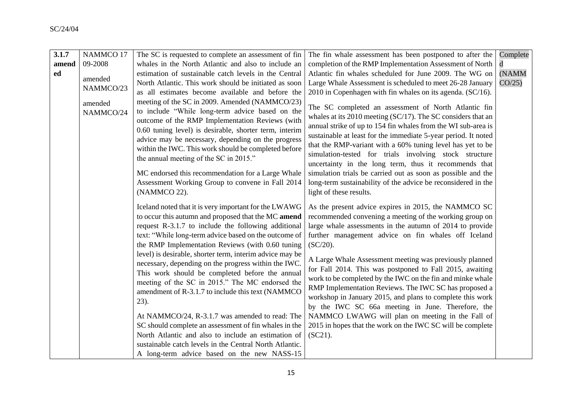| 3.1.7 | NAMMCO 17            | The SC is requested to complete an assessment of fin                                                                                                                                                                                                                                                                                                                                                                                                                                                                                                                                                                                                                                                                                                                                                                                                 | The fin whale assessment has been postponed to after the                                                                                                                                                                                                                                                                                                                                                                                                                                                                                                                                                                                                                                                                                          | Complete |
|-------|----------------------|------------------------------------------------------------------------------------------------------------------------------------------------------------------------------------------------------------------------------------------------------------------------------------------------------------------------------------------------------------------------------------------------------------------------------------------------------------------------------------------------------------------------------------------------------------------------------------------------------------------------------------------------------------------------------------------------------------------------------------------------------------------------------------------------------------------------------------------------------|---------------------------------------------------------------------------------------------------------------------------------------------------------------------------------------------------------------------------------------------------------------------------------------------------------------------------------------------------------------------------------------------------------------------------------------------------------------------------------------------------------------------------------------------------------------------------------------------------------------------------------------------------------------------------------------------------------------------------------------------------|----------|
| amend | 09-2008              | whales in the North Atlantic and also to include an                                                                                                                                                                                                                                                                                                                                                                                                                                                                                                                                                                                                                                                                                                                                                                                                  | completion of the RMP Implementation Assessment of North                                                                                                                                                                                                                                                                                                                                                                                                                                                                                                                                                                                                                                                                                          | d        |
| ed    |                      | estimation of sustainable catch levels in the Central                                                                                                                                                                                                                                                                                                                                                                                                                                                                                                                                                                                                                                                                                                                                                                                                | Atlantic fin whales scheduled for June 2009. The WG on                                                                                                                                                                                                                                                                                                                                                                                                                                                                                                                                                                                                                                                                                            | (NAMM    |
|       | amended              | North Atlantic. This work should be initiated as soon                                                                                                                                                                                                                                                                                                                                                                                                                                                                                                                                                                                                                                                                                                                                                                                                | Large Whale Assessment is scheduled to meet 26-28 January                                                                                                                                                                                                                                                                                                                                                                                                                                                                                                                                                                                                                                                                                         | CO/25    |
|       | NAMMCO/23            | as all estimates become available and before the                                                                                                                                                                                                                                                                                                                                                                                                                                                                                                                                                                                                                                                                                                                                                                                                     | 2010 in Copenhagen with fin whales on its agenda. (SC/16).                                                                                                                                                                                                                                                                                                                                                                                                                                                                                                                                                                                                                                                                                        |          |
|       | amended<br>NAMMCO/24 | meeting of the SC in 2009. Amended (NAMMCO/23)<br>to include "While long-term advice based on the<br>outcome of the RMP Implementation Reviews (with<br>0.60 tuning level) is desirable, shorter term, interim<br>advice may be necessary, depending on the progress<br>within the IWC. This work should be completed before<br>the annual meeting of the SC in 2015."<br>MC endorsed this recommendation for a Large Whale<br>Assessment Working Group to convene in Fall 2014<br>(NAMMCO 22).                                                                                                                                                                                                                                                                                                                                                      | The SC completed an assessment of North Atlantic fin<br>whales at its 2010 meeting (SC/17). The SC considers that an<br>annual strike of up to 154 fin whales from the WI sub-area is<br>sustainable at least for the immediate 5-year period. It noted<br>that the RMP-variant with a 60% tuning level has yet to be<br>simulation-tested for trials involving stock structure<br>uncertainty in the long term, thus it recommends that<br>simulation trials be carried out as soon as possible and the<br>long-term sustainability of the advice be reconsidered in the<br>light of these results.                                                                                                                                              |          |
|       |                      | Iceland noted that it is very important for the LWAWG<br>to occur this autumn and proposed that the MC amend<br>request R-3.1.7 to include the following additional<br>text: "While long-term advice based on the outcome of<br>the RMP Implementation Reviews (with 0.60 tuning<br>level) is desirable, shorter term, interim advice may be<br>necessary, depending on the progress within the IWC.<br>This work should be completed before the annual<br>meeting of the SC in 2015." The MC endorsed the<br>amendment of R-3.1.7 to include this text (NAMMCO)<br>23).<br>At NAMMCO/24, R-3.1.7 was amended to read: The<br>SC should complete an assessment of fin whales in the<br>North Atlantic and also to include an estimation of<br>sustainable catch levels in the Central North Atlantic.<br>A long-term advice based on the new NASS-15 | As the present advice expires in 2015, the NAMMCO SC<br>recommended convening a meeting of the working group on<br>large whale assessments in the autumn of 2014 to provide<br>further management advice on fin whales off Iceland<br>$(SC/20)$ .<br>A Large Whale Assessment meeting was previously planned<br>for Fall 2014. This was postponed to Fall 2015, awaiting<br>work to be completed by the IWC on the fin and minke whale<br>RMP Implementation Reviews. The IWC SC has proposed a<br>workshop in January 2015, and plans to complete this work<br>by the IWC SC 66a meeting in June. Therefore, the<br>NAMMCO LWAWG will plan on meeting in the Fall of<br>2015 in hopes that the work on the IWC SC will be complete<br>$(SC21)$ . |          |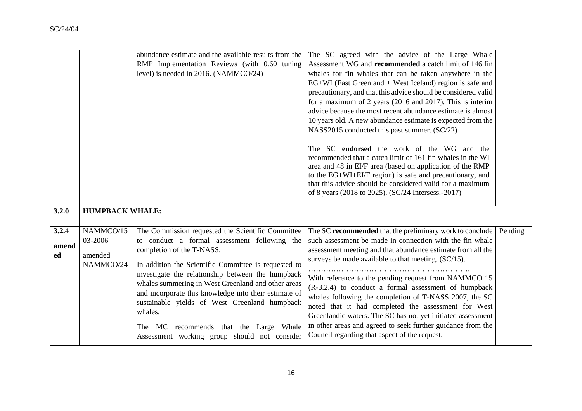|                      |                                              | abundance estimate and the available results from the<br>RMP Implementation Reviews (with 0.60 tuning<br>level) is needed in 2016. (NAMMCO/24)                                                                                                                                                                                                                                                                                                                                                                   | The SC agreed with the advice of the Large Whale<br>Assessment WG and recommended a catch limit of 146 fin<br>whales for fin whales that can be taken anywhere in the<br>$EG+WI$ (East Greenland + West Iceland) region is safe and<br>precautionary, and that this advice should be considered valid<br>for a maximum of 2 years (2016 and 2017). This is interim<br>advice because the most recent abundance estimate is almost<br>10 years old. A new abundance estimate is expected from the<br>NASS2015 conducted this past summer. (SC/22)<br>The SC endorsed the work of the WG and the<br>recommended that a catch limit of 161 fin whales in the WI<br>area and 48 in EI/F area (based on application of the RMP<br>to the EG+WI+EI/F region) is safe and precautionary, and<br>that this advice should be considered valid for a maximum<br>of 8 years (2018 to 2025). (SC/24 Intersess.-2017) |         |
|----------------------|----------------------------------------------|------------------------------------------------------------------------------------------------------------------------------------------------------------------------------------------------------------------------------------------------------------------------------------------------------------------------------------------------------------------------------------------------------------------------------------------------------------------------------------------------------------------|----------------------------------------------------------------------------------------------------------------------------------------------------------------------------------------------------------------------------------------------------------------------------------------------------------------------------------------------------------------------------------------------------------------------------------------------------------------------------------------------------------------------------------------------------------------------------------------------------------------------------------------------------------------------------------------------------------------------------------------------------------------------------------------------------------------------------------------------------------------------------------------------------------|---------|
| 3.2.0                | <b>HUMPBACK WHALE:</b>                       |                                                                                                                                                                                                                                                                                                                                                                                                                                                                                                                  |                                                                                                                                                                                                                                                                                                                                                                                                                                                                                                                                                                                                                                                                                                                                                                                                                                                                                                          |         |
| 3.2.4<br>amend<br>ed | NAMMCO/15<br>03-2006<br>amended<br>NAMMCO/24 | The Commission requested the Scientific Committee<br>to conduct a formal assessment following the<br>completion of the T-NASS.<br>In addition the Scientific Committee is requested to<br>investigate the relationship between the humpback<br>whales summering in West Greenland and other areas<br>and incorporate this knowledge into their estimate of<br>sustainable yields of West Greenland humpback<br>whales.<br>The MC recommends that the Large Whale<br>Assessment working group should not consider | The SC recommended that the preliminary work to conclude<br>such assessment be made in connection with the fin whale<br>assessment meeting and that abundance estimate from all the<br>surveys be made available to that meeting. (SC/15).<br>With reference to the pending request from NAMMCO 15<br>(R-3.2.4) to conduct a formal assessment of humpback<br>whales following the completion of T-NASS 2007, the SC<br>noted that it had completed the assessment for West<br>Greenlandic waters. The SC has not yet initiated assessment<br>in other areas and agreed to seek further guidance from the<br>Council regarding that aspect of the request.                                                                                                                                                                                                                                               | Pending |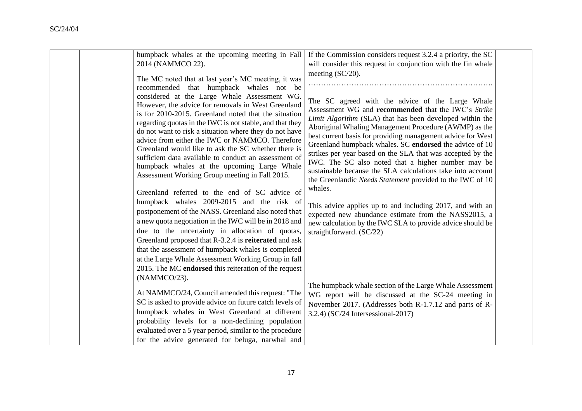| humpback whales at the upcoming meeting in Fall                                                                                                                                                                                                                                                                                                                                                                                                | If the Commission considers request 3.2.4 a priority, the SC                                                                                                                                                                                                                                                                                                                                                                  |  |
|------------------------------------------------------------------------------------------------------------------------------------------------------------------------------------------------------------------------------------------------------------------------------------------------------------------------------------------------------------------------------------------------------------------------------------------------|-------------------------------------------------------------------------------------------------------------------------------------------------------------------------------------------------------------------------------------------------------------------------------------------------------------------------------------------------------------------------------------------------------------------------------|--|
| 2014 (NAMMCO 22).                                                                                                                                                                                                                                                                                                                                                                                                                              | will consider this request in conjunction with the fin whale                                                                                                                                                                                                                                                                                                                                                                  |  |
| The MC noted that at last year's MC meeting, it was<br>recommended that humpback whales not be<br>considered at the Large Whale Assessment WG.<br>However, the advice for removals in West Greenland                                                                                                                                                                                                                                           | meeting $(SC/20)$ .<br>The SC agreed with the advice of the Large Whale<br>Assessment WG and recommended that the IWC's Strike                                                                                                                                                                                                                                                                                                |  |
| is for 2010-2015. Greenland noted that the situation<br>regarding quotas in the IWC is not stable, and that they<br>do not want to risk a situation where they do not have<br>advice from either the IWC or NAMMCO. Therefore<br>Greenland would like to ask the SC whether there is<br>sufficient data available to conduct an assessment of<br>humpback whales at the upcoming Large Whale<br>Assessment Working Group meeting in Fall 2015. | Limit Algorithm (SLA) that has been developed within the<br>Aboriginal Whaling Management Procedure (AWMP) as the<br>best current basis for providing management advice for West<br>Greenland humpback whales. SC endorsed the advice of 10<br>strikes per year based on the SLA that was accepted by the<br>IWC. The SC also noted that a higher number may be<br>sustainable because the SLA calculations take into account |  |
| Greenland referred to the end of SC advice of                                                                                                                                                                                                                                                                                                                                                                                                  | the Greenlandic <i>Needs Statement</i> provided to the IWC of 10<br>whales.                                                                                                                                                                                                                                                                                                                                                   |  |
| humpback whales 2009-2015 and the risk of<br>postponement of the NASS. Greenland also noted that<br>a new quota negotiation in the IWC will be in 2018 and                                                                                                                                                                                                                                                                                     | This advice applies up to and including 2017, and with an<br>expected new abundance estimate from the NASS2015, a                                                                                                                                                                                                                                                                                                             |  |
| due to the uncertainty in allocation of quotas,<br>Greenland proposed that R-3.2.4 is reiterated and ask                                                                                                                                                                                                                                                                                                                                       | new calculation by the IWC SLA to provide advice should be<br>straightforward. (SC/22)                                                                                                                                                                                                                                                                                                                                        |  |
| that the assessment of humpback whales is completed<br>at the Large Whale Assessment Working Group in fall                                                                                                                                                                                                                                                                                                                                     |                                                                                                                                                                                                                                                                                                                                                                                                                               |  |
| 2015. The MC endorsed this reiteration of the request<br>(NAMMCO/23).                                                                                                                                                                                                                                                                                                                                                                          |                                                                                                                                                                                                                                                                                                                                                                                                                               |  |
| At NAMMCO/24, Council amended this request: "The                                                                                                                                                                                                                                                                                                                                                                                               | The humpback whale section of the Large Whale Assessment<br>WG report will be discussed at the SC-24 meeting in                                                                                                                                                                                                                                                                                                               |  |
| SC is asked to provide advice on future catch levels of<br>humpback whales in West Greenland at different                                                                                                                                                                                                                                                                                                                                      | November 2017. (Addresses both R-1.7.12 and parts of R-<br>3.2.4) (SC/24 Intersessional-2017)                                                                                                                                                                                                                                                                                                                                 |  |
| probability levels for a non-declining population<br>evaluated over a 5 year period, similar to the procedure                                                                                                                                                                                                                                                                                                                                  |                                                                                                                                                                                                                                                                                                                                                                                                                               |  |
| for the advice generated for beluga, narwhal and                                                                                                                                                                                                                                                                                                                                                                                               |                                                                                                                                                                                                                                                                                                                                                                                                                               |  |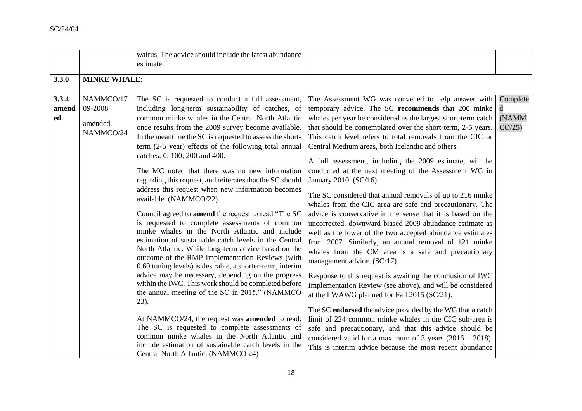|       |                     | walrus. The advice should include the latest abundance                                                       |                                                                                                                        |          |
|-------|---------------------|--------------------------------------------------------------------------------------------------------------|------------------------------------------------------------------------------------------------------------------------|----------|
|       |                     | estimate."                                                                                                   |                                                                                                                        |          |
| 3.3.0 | <b>MINKE WHALE:</b> |                                                                                                              |                                                                                                                        |          |
|       |                     |                                                                                                              |                                                                                                                        |          |
| 3.3.4 | NAMMCO/17           | The SC is requested to conduct a full assessment,                                                            | The Assessment WG was convened to help answer with                                                                     | Complete |
| amend | 09-2008             | including long-term sustainability of catches, of                                                            | temporary advice. The SC recommends that 200 minke                                                                     | d        |
| ed    | amended             | common minke whales in the Central North Atlantic                                                            | whales per year be considered as the largest short-term catch                                                          | (NAMM    |
|       | NAMMCO/24           | once results from the 2009 survey become available.                                                          | that should be contemplated over the short-term, 2-5 years.                                                            | CO/25    |
|       |                     | In the meantime the SC is requested to assess the short-                                                     | This catch level refers to total removals from the CIC or                                                              |          |
|       |                     | term (2-5 year) effects of the following total annual                                                        | Central Medium areas, both Icelandic and others.                                                                       |          |
|       |                     | catches: 0, 100, 200 and 400.                                                                                | A full assessment, including the 2009 estimate, will be                                                                |          |
|       |                     | The MC noted that there was no new information                                                               | conducted at the next meeting of the Assessment WG in                                                                  |          |
|       |                     | regarding this request, and reiterates that the SC should                                                    | January 2010. (SC/16).                                                                                                 |          |
|       |                     | address this request when new information becomes                                                            |                                                                                                                        |          |
|       |                     | available. (NAMMCO/22)                                                                                       | The SC considered that annual removals of up to 216 minke                                                              |          |
|       |                     |                                                                                                              | whales from the CIC area are safe and precautionary. The                                                               |          |
|       |                     | Council agreed to <b>amend</b> the request to read "The SC<br>is requested to complete assessments of common | advice is conservative in the sense that it is based on the<br>uncorrected, downward biased 2009 abundance estimate as |          |
|       |                     | minke whales in the North Atlantic and include                                                               | well as the lower of the two accepted abundance estimates                                                              |          |
|       |                     | estimation of sustainable catch levels in the Central                                                        | from 2007. Similarly, an annual removal of 121 minke                                                                   |          |
|       |                     | North Atlantic. While long-term advice based on the                                                          | whales from the CM area is a safe and precautionary                                                                    |          |
|       |                     | outcome of the RMP Implementation Reviews (with                                                              | management advice. (SC/17)                                                                                             |          |
|       |                     | 0.60 tuning levels) is desirable, a shorter-term, interim                                                    |                                                                                                                        |          |
|       |                     | advice may be necessary, depending on the progress                                                           | Response to this request is awaiting the conclusion of IWC                                                             |          |
|       |                     | within the IWC. This work should be completed before<br>the annual meeting of the SC in 2015." (NAMMCO       | Implementation Review (see above), and will be considered                                                              |          |
|       |                     | 23).                                                                                                         | at the LWAWG planned for Fall 2015 (SC/21).                                                                            |          |
|       |                     |                                                                                                              | The SC endorsed the advice provided by the WG that a catch                                                             |          |
|       |                     | At NAMMCO/24, the request was <b>amended</b> to read:                                                        | limit of 224 common minke whales in the CIC sub-area is                                                                |          |
|       |                     | The SC is requested to complete assessments of                                                               | safe and precautionary, and that this advice should be                                                                 |          |
|       |                     | common minke whales in the North Atlantic and                                                                | considered valid for a maximum of 3 years $(2016 - 2018)$ .                                                            |          |
|       |                     | include estimation of sustainable catch levels in the                                                        | This is interim advice because the most recent abundance                                                               |          |
|       |                     | Central North Atlantic. (NAMMCO 24)                                                                          |                                                                                                                        |          |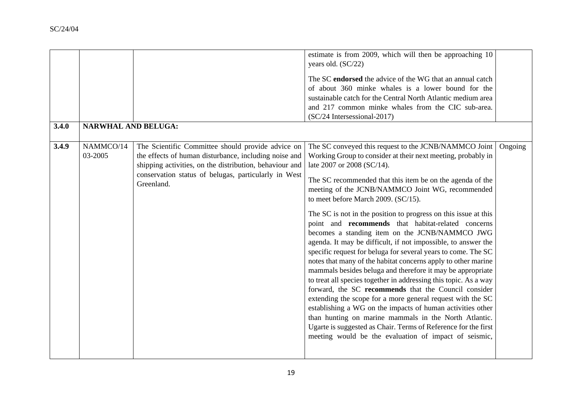|       |                            |                                                         | estimate is from 2009, which will then be approaching 10                                                                 |         |
|-------|----------------------------|---------------------------------------------------------|--------------------------------------------------------------------------------------------------------------------------|---------|
|       |                            |                                                         | years old. (SC/22)                                                                                                       |         |
|       |                            |                                                         | The SC endorsed the advice of the WG that an annual catch                                                                |         |
|       |                            |                                                         | of about 360 minke whales is a lower bound for the                                                                       |         |
|       |                            |                                                         | sustainable catch for the Central North Atlantic medium area                                                             |         |
|       |                            |                                                         | and 217 common minke whales from the CIC sub-area.<br>(SC/24 Intersessional-2017)                                        |         |
| 3.4.0 | <b>NARWHAL AND BELUGA:</b> |                                                         |                                                                                                                          |         |
|       |                            |                                                         |                                                                                                                          |         |
| 3.4.9 | NAMMCO/14                  | The Scientific Committee should provide advice on       | The SC conveyed this request to the JCNB/NAMMCO Joint                                                                    | Ongoing |
|       | 03-2005                    | the effects of human disturbance, including noise and   | Working Group to consider at their next meeting, probably in                                                             |         |
|       |                            | shipping activities, on the distribution, behaviour and | late 2007 or 2008 (SC/14).                                                                                               |         |
|       |                            | conservation status of belugas, particularly in West    | The SC recommended that this item be on the agenda of the                                                                |         |
|       |                            | Greenland.                                              | meeting of the JCNB/NAMMCO Joint WG, recommended                                                                         |         |
|       |                            |                                                         | to meet before March 2009. (SC/15).                                                                                      |         |
|       |                            |                                                         | The SC is not in the position to progress on this issue at this                                                          |         |
|       |                            |                                                         | point and recommends that habitat-related concerns                                                                       |         |
|       |                            |                                                         | becomes a standing item on the JCNB/NAMMCO JWG                                                                           |         |
|       |                            |                                                         | agenda. It may be difficult, if not impossible, to answer the                                                            |         |
|       |                            |                                                         | specific request for beluga for several years to come. The SC                                                            |         |
|       |                            |                                                         | notes that many of the habitat concerns apply to other marine                                                            |         |
|       |                            |                                                         | mammals besides beluga and therefore it may be appropriate                                                               |         |
|       |                            |                                                         | to treat all species together in addressing this topic. As a way<br>forward, the SC recommends that the Council consider |         |
|       |                            |                                                         | extending the scope for a more general request with the SC                                                               |         |
|       |                            |                                                         | establishing a WG on the impacts of human activities other                                                               |         |
|       |                            |                                                         | than hunting on marine mammals in the North Atlantic.                                                                    |         |
|       |                            |                                                         | Ugarte is suggested as Chair. Terms of Reference for the first                                                           |         |
|       |                            |                                                         | meeting would be the evaluation of impact of seismic,                                                                    |         |
|       |                            |                                                         |                                                                                                                          |         |
|       |                            |                                                         |                                                                                                                          |         |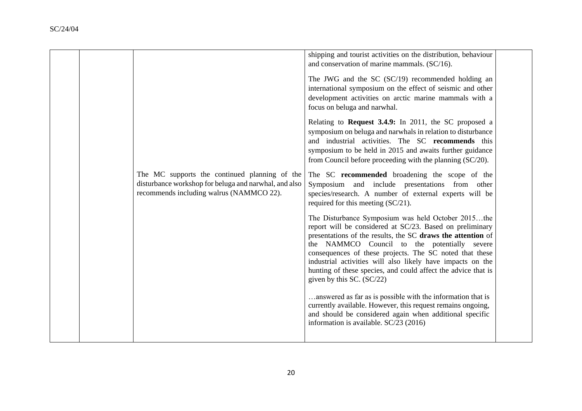|  |                                                                                                                                                    | shipping and tourist activities on the distribution, behaviour<br>and conservation of marine mammals. (SC/16).                                                                                                                                                                                                                                                                                                                                         |  |
|--|----------------------------------------------------------------------------------------------------------------------------------------------------|--------------------------------------------------------------------------------------------------------------------------------------------------------------------------------------------------------------------------------------------------------------------------------------------------------------------------------------------------------------------------------------------------------------------------------------------------------|--|
|  |                                                                                                                                                    | The JWG and the SC (SC/19) recommended holding an<br>international symposium on the effect of seismic and other<br>development activities on arctic marine mammals with a<br>focus on beluga and narwhal.                                                                                                                                                                                                                                              |  |
|  |                                                                                                                                                    | Relating to Request 3.4.9: In 2011, the SC proposed a<br>symposium on beluga and narwhals in relation to disturbance<br>and industrial activities. The SC recommends this<br>symposium to be held in 2015 and awaits further guidance<br>from Council before proceeding with the planning (SC/20).                                                                                                                                                     |  |
|  | The MC supports the continued planning of the<br>disturbance workshop for beluga and narwhal, and also<br>recommends including walrus (NAMMCO 22). | The SC recommended broadening the scope of the<br>Symposium and include presentations from other<br>species/research. A number of external experts will be<br>required for this meeting (SC/21).                                                                                                                                                                                                                                                       |  |
|  |                                                                                                                                                    | The Disturbance Symposium was held October 2015the<br>report will be considered at SC/23. Based on preliminary<br>presentations of the results, the SC draws the attention of<br>the NAMMCO Council to the potentially severe<br>consequences of these projects. The SC noted that these<br>industrial activities will also likely have impacts on the<br>hunting of these species, and could affect the advice that is<br>given by this SC. $(SC/22)$ |  |
|  |                                                                                                                                                    | answered as far as is possible with the information that is<br>currently available. However, this request remains ongoing,<br>and should be considered again when additional specific<br>information is available. SC/23 (2016)                                                                                                                                                                                                                        |  |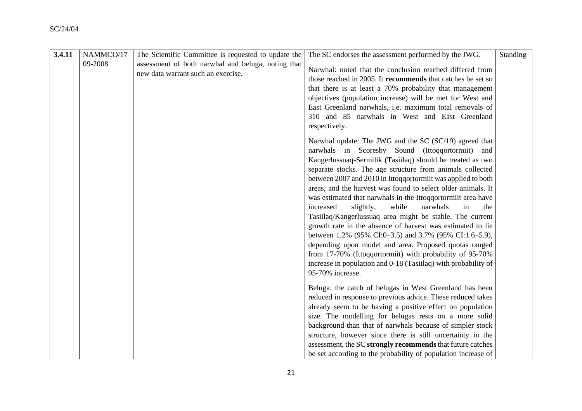| 3.4.11 | NAMMCO/17 | The Scientific Committee is requested to update the                                      | The SC endorses the assessment performed by the JWG.                                                                                                                                                                                                                                                                                                                                                                                                                                                                                                                                                                                                                                                                                                                                                                                                                                                | <b>Standing</b> |
|--------|-----------|------------------------------------------------------------------------------------------|-----------------------------------------------------------------------------------------------------------------------------------------------------------------------------------------------------------------------------------------------------------------------------------------------------------------------------------------------------------------------------------------------------------------------------------------------------------------------------------------------------------------------------------------------------------------------------------------------------------------------------------------------------------------------------------------------------------------------------------------------------------------------------------------------------------------------------------------------------------------------------------------------------|-----------------|
|        | 09-2008   | assessment of both narwhal and beluga, noting that<br>new data warrant such an exercise. | Narwhal: noted that the conclusion reached differed from<br>those reached in 2005. It recommends that catches be set so<br>that there is at least a 70% probability that management<br>objectives (population increase) will be met for West and<br>East Greenland narwhals, i.e. maximum total removals of<br>310 and 85 narwhals in West and East Greenland<br>respectively.                                                                                                                                                                                                                                                                                                                                                                                                                                                                                                                      |                 |
|        |           |                                                                                          | Narwhal update: The JWG and the SC (SC/19) agreed that<br>narwhals in Scoresby Sound (Ittoqqortormiit)<br>and<br>Kangerlussuaq-Sermilik (Tasiilaq) should be treated as two<br>separate stocks. The age structure from animals collected<br>between 2007 and 2010 in Ittoqqortormiit was applied to both<br>areas, and the harvest was found to select older animals. It<br>was estimated that narwhals in the Ittoqqortormiit area have<br>while<br>slightly,<br>narwhals<br>the<br>increased<br>in<br>Tasiilaq/Kangerlussuaq area might be stable. The current<br>growth rate in the absence of harvest was estimated to lie<br>between 1.2% (95% CI:0-3.5) and 3.7% (95% CI:1.6-5.9),<br>depending upon model and area. Proposed quotas ranged<br>from 17-70% (Ittoqqortormiit) with probability of 95-70%<br>increase in population and 0-18 (Tasiilaq) with probability of<br>95-70% increase. |                 |
|        |           |                                                                                          | Beluga: the catch of belugas in West Greenland has been<br>reduced in response to previous advice. These reduced takes<br>already seem to be having a positive effect on population<br>size. The modelling for belugas rests on a more solid<br>background than that of narwhals because of simpler stock<br>structure, however since there is still uncertainty in the<br>assessment, the SC strongly recommends that future catches                                                                                                                                                                                                                                                                                                                                                                                                                                                               |                 |
|        |           |                                                                                          | be set according to the probability of population increase of                                                                                                                                                                                                                                                                                                                                                                                                                                                                                                                                                                                                                                                                                                                                                                                                                                       |                 |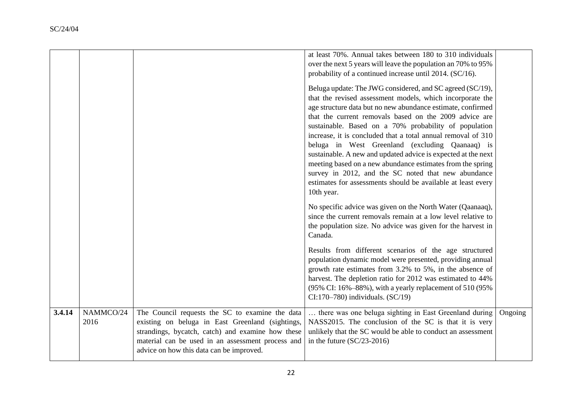|        |                   |                                                                                                                                                                                                                                                           | at least 70%. Annual takes between 180 to 310 individuals<br>over the next 5 years will leave the population an 70% to 95%<br>probability of a continued increase until 2014. (SC/16).<br>Beluga update: The JWG considered, and SC agreed (SC/19),<br>that the revised assessment models, which incorporate the<br>age structure data but no new abundance estimate, confirmed<br>that the current removals based on the 2009 advice are<br>sustainable. Based on a 70% probability of population<br>increase, it is concluded that a total annual removal of 310<br>beluga in West Greenland (excluding Qaanaaq) is<br>sustainable. A new and updated advice is expected at the next<br>meeting based on a new abundance estimates from the spring<br>survey in 2012, and the SC noted that new abundance<br>estimates for assessments should be available at least every<br>10th year.<br>No specific advice was given on the North Water (Qaanaaq),<br>since the current removals remain at a low level relative to<br>the population size. No advice was given for the harvest in<br>Canada.<br>Results from different scenarios of the age structured<br>population dynamic model were presented, providing annual<br>growth rate estimates from 3.2% to 5%, in the absence of<br>harvest. The depletion ratio for 2012 was estimated to 44%<br>(95% CI: 16%-88%), with a yearly replacement of 510 (95%)<br>$CI:170-780$ ) individuals. $(SC/19)$ |         |
|--------|-------------------|-----------------------------------------------------------------------------------------------------------------------------------------------------------------------------------------------------------------------------------------------------------|----------------------------------------------------------------------------------------------------------------------------------------------------------------------------------------------------------------------------------------------------------------------------------------------------------------------------------------------------------------------------------------------------------------------------------------------------------------------------------------------------------------------------------------------------------------------------------------------------------------------------------------------------------------------------------------------------------------------------------------------------------------------------------------------------------------------------------------------------------------------------------------------------------------------------------------------------------------------------------------------------------------------------------------------------------------------------------------------------------------------------------------------------------------------------------------------------------------------------------------------------------------------------------------------------------------------------------------------------------------------------------------------------------------------------------------------------------|---------|
| 3.4.14 | NAMMCO/24<br>2016 | The Council requests the SC to examine the data<br>existing on beluga in East Greenland (sightings,<br>strandings, bycatch, catch) and examine how these<br>material can be used in an assessment process and<br>advice on how this data can be improved. | there was one beluga sighting in East Greenland during<br>NASS2015. The conclusion of the SC is that it is very<br>unlikely that the SC would be able to conduct an assessment<br>in the future $(SC/23-2016)$                                                                                                                                                                                                                                                                                                                                                                                                                                                                                                                                                                                                                                                                                                                                                                                                                                                                                                                                                                                                                                                                                                                                                                                                                                           | Ongoing |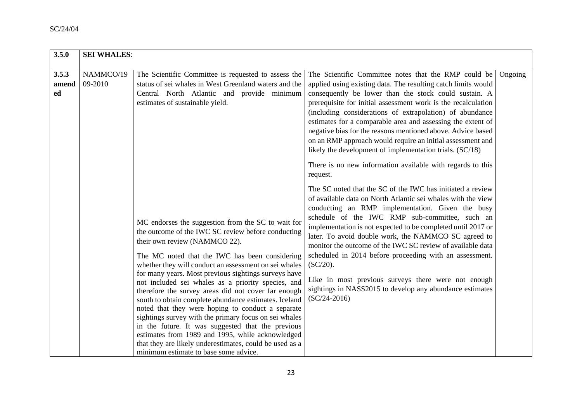| 3.5.0                | <b>SEI WHALES:</b>   |                                                                                                                                                                                                                                                                                                                                                                                                                                                                                                                                                                                                                                                                                                                                                                                                               |                                                                                                                                                                                                                                                                                                                                                                                                                                                                                                                                                                                                                                       |         |  |  |
|----------------------|----------------------|---------------------------------------------------------------------------------------------------------------------------------------------------------------------------------------------------------------------------------------------------------------------------------------------------------------------------------------------------------------------------------------------------------------------------------------------------------------------------------------------------------------------------------------------------------------------------------------------------------------------------------------------------------------------------------------------------------------------------------------------------------------------------------------------------------------|---------------------------------------------------------------------------------------------------------------------------------------------------------------------------------------------------------------------------------------------------------------------------------------------------------------------------------------------------------------------------------------------------------------------------------------------------------------------------------------------------------------------------------------------------------------------------------------------------------------------------------------|---------|--|--|
|                      |                      |                                                                                                                                                                                                                                                                                                                                                                                                                                                                                                                                                                                                                                                                                                                                                                                                               |                                                                                                                                                                                                                                                                                                                                                                                                                                                                                                                                                                                                                                       |         |  |  |
| 3.5.3<br>amend<br>ed | NAMMCO/19<br>09-2010 | The Scientific Committee is requested to assess the<br>status of sei whales in West Greenland waters and the<br>Central North Atlantic and provide minimum                                                                                                                                                                                                                                                                                                                                                                                                                                                                                                                                                                                                                                                    | The Scientific Committee notes that the RMP could be<br>applied using existing data. The resulting catch limits would<br>consequently be lower than the stock could sustain. A                                                                                                                                                                                                                                                                                                                                                                                                                                                        | Ongoing |  |  |
|                      |                      | estimates of sustainable yield.                                                                                                                                                                                                                                                                                                                                                                                                                                                                                                                                                                                                                                                                                                                                                                               | prerequisite for initial assessment work is the recalculation<br>(including considerations of extrapolation) of abundance<br>estimates for a comparable area and assessing the extent of<br>negative bias for the reasons mentioned above. Advice based<br>on an RMP approach would require an initial assessment and<br>likely the development of implementation trials. (SC/18)                                                                                                                                                                                                                                                     |         |  |  |
|                      |                      |                                                                                                                                                                                                                                                                                                                                                                                                                                                                                                                                                                                                                                                                                                                                                                                                               | There is no new information available with regards to this<br>request.                                                                                                                                                                                                                                                                                                                                                                                                                                                                                                                                                                |         |  |  |
|                      |                      | MC endorses the suggestion from the SC to wait for<br>the outcome of the IWC SC review before conducting<br>their own review (NAMMCO 22).<br>The MC noted that the IWC has been considering<br>whether they will conduct an assessment on sei whales<br>for many years. Most previous sightings surveys have<br>not included sei whales as a priority species, and<br>therefore the survey areas did not cover far enough<br>south to obtain complete abundance estimates. Iceland<br>noted that they were hoping to conduct a separate<br>sightings survey with the primary focus on sei whales<br>in the future. It was suggested that the previous<br>estimates from 1989 and 1995, while acknowledged<br>that they are likely underestimates, could be used as a<br>minimum estimate to base some advice. | The SC noted that the SC of the IWC has initiated a review<br>of available data on North Atlantic sei whales with the view<br>conducting an RMP implementation. Given the busy<br>schedule of the IWC RMP sub-committee, such an<br>implementation is not expected to be completed until 2017 or<br>later. To avoid double work, the NAMMCO SC agreed to<br>monitor the outcome of the IWC SC review of available data<br>scheduled in 2014 before proceeding with an assessment.<br>$(SC/20)$ .<br>Like in most previous surveys there were not enough<br>sightings in NASS2015 to develop any abundance estimates<br>$(SC/24-2016)$ |         |  |  |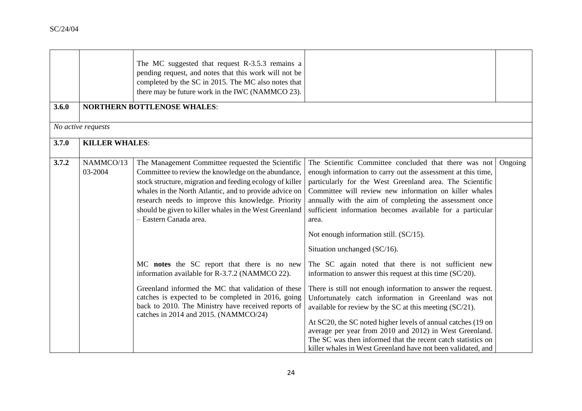|       |                       | The MC suggested that request R-3.5.3 remains a<br>pending request, and notes that this work will not be<br>completed by the SC in 2015. The MC also notes that<br>there may be future work in the IWC (NAMMCO 23).                                                                                                                                                      |                                                                                                                                                                                                                                                                                                                                                                                                                                                                                                                                                                     |         |
|-------|-----------------------|--------------------------------------------------------------------------------------------------------------------------------------------------------------------------------------------------------------------------------------------------------------------------------------------------------------------------------------------------------------------------|---------------------------------------------------------------------------------------------------------------------------------------------------------------------------------------------------------------------------------------------------------------------------------------------------------------------------------------------------------------------------------------------------------------------------------------------------------------------------------------------------------------------------------------------------------------------|---------|
| 3.6.0 |                       | <b>NORTHERN BOTTLENOSE WHALES:</b>                                                                                                                                                                                                                                                                                                                                       |                                                                                                                                                                                                                                                                                                                                                                                                                                                                                                                                                                     |         |
|       | No active requests    |                                                                                                                                                                                                                                                                                                                                                                          |                                                                                                                                                                                                                                                                                                                                                                                                                                                                                                                                                                     |         |
| 3.7.0 | <b>KILLER WHALES:</b> |                                                                                                                                                                                                                                                                                                                                                                          |                                                                                                                                                                                                                                                                                                                                                                                                                                                                                                                                                                     |         |
| 3.7.2 | NAMMCO/13<br>03-2004  | The Management Committee requested the Scientific<br>Committee to review the knowledge on the abundance,<br>stock structure, migration and feeding ecology of killer<br>whales in the North Atlantic, and to provide advice on<br>research needs to improve this knowledge. Priority<br>should be given to killer whales in the West Greenland<br>- Eastern Canada area. | The Scientific Committee concluded that there was not<br>enough information to carry out the assessment at this time,<br>particularly for the West Greenland area. The Scientific<br>Committee will review new information on killer whales<br>annually with the aim of completing the assessment once<br>sufficient information becomes available for a particular<br>area.<br>Not enough information still. (SC/15).<br>Situation unchanged (SC/16).                                                                                                              | Ongoing |
|       |                       | MC notes the SC report that there is no new<br>information available for R-3.7.2 (NAMMCO 22).<br>Greenland informed the MC that validation of these<br>catches is expected to be completed in 2016, going<br>back to 2010. The Ministry have received reports of<br>catches in 2014 and 2015. (NAMMCO/24)                                                                | The SC again noted that there is not sufficient new<br>information to answer this request at this time $(SC/20)$ .<br>There is still not enough information to answer the request.<br>Unfortunately catch information in Greenland was not<br>available for review by the SC at this meeting $(SC/21)$ .<br>At SC20, the SC noted higher levels of annual catches (19 on<br>average per year from 2010 and 2012) in West Greenland.<br>The SC was then informed that the recent catch statistics on<br>killer whales in West Greenland have not been validated, and |         |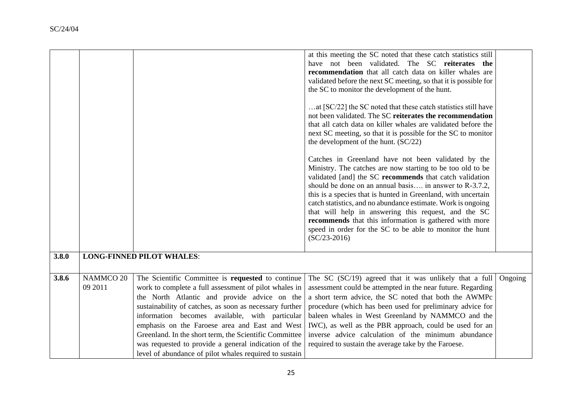|       |                                  |                                                                                                                                                                                                                                                                                                                                                                                                                                                                                                       | at this meeting the SC noted that these catch statistics still<br>have not been validated. The SC reiterates the<br>recommendation that all catch data on killer whales are<br>validated before the next SC meeting, so that it is possible for<br>the SC to monitor the development of the hunt.<br>at [SC/22] the SC noted that these catch statistics still have<br>not been validated. The SC reiterates the recommendation<br>that all catch data on killer whales are validated before the<br>next SC meeting, so that it is possible for the SC to monitor<br>the development of the hunt. (SC/22)<br>Catches in Greenland have not been validated by the<br>Ministry. The catches are now starting to be too old to be<br>validated [and] the SC recommends that catch validation<br>should be done on an annual basis in answer to R-3.7.2,<br>this is a species that is hunted in Greenland, with uncertain<br>catch statistics, and no abundance estimate. Work is ongoing<br>that will help in answering this request, and the SC<br>recommends that this information is gathered with more<br>speed in order for the SC to be able to monitor the hunt<br>$(SC/23-2016)$ |         |
|-------|----------------------------------|-------------------------------------------------------------------------------------------------------------------------------------------------------------------------------------------------------------------------------------------------------------------------------------------------------------------------------------------------------------------------------------------------------------------------------------------------------------------------------------------------------|---------------------------------------------------------------------------------------------------------------------------------------------------------------------------------------------------------------------------------------------------------------------------------------------------------------------------------------------------------------------------------------------------------------------------------------------------------------------------------------------------------------------------------------------------------------------------------------------------------------------------------------------------------------------------------------------------------------------------------------------------------------------------------------------------------------------------------------------------------------------------------------------------------------------------------------------------------------------------------------------------------------------------------------------------------------------------------------------------------------------------------------------------------------------------------------|---------|
|       |                                  |                                                                                                                                                                                                                                                                                                                                                                                                                                                                                                       |                                                                                                                                                                                                                                                                                                                                                                                                                                                                                                                                                                                                                                                                                                                                                                                                                                                                                                                                                                                                                                                                                                                                                                                       |         |
| 3.8.0 | <b>LONG-FINNED PILOT WHALES:</b> |                                                                                                                                                                                                                                                                                                                                                                                                                                                                                                       |                                                                                                                                                                                                                                                                                                                                                                                                                                                                                                                                                                                                                                                                                                                                                                                                                                                                                                                                                                                                                                                                                                                                                                                       |         |
| 3.8.6 | NAMMCO 20<br>09 2011             | The Scientific Committee is requested to continue<br>work to complete a full assessment of pilot whales in<br>the North Atlantic and provide advice on the<br>sustainability of catches, as soon as necessary further<br>information becomes available, with particular<br>emphasis on the Faroese area and East and West<br>Greenland. In the short term, the Scientific Committee<br>was requested to provide a general indication of the<br>level of abundance of pilot whales required to sustain | The SC $(SC/19)$ agreed that it was unlikely that a full<br>assessment could be attempted in the near future. Regarding<br>a short term advice, the SC noted that both the AWMPc<br>procedure (which has been used for preliminary advice for<br>baleen whales in West Greenland by NAMMCO and the<br>IWC), as well as the PBR approach, could be used for an<br>inverse advice calculation of the minimum abundance<br>required to sustain the average take by the Faroese.                                                                                                                                                                                                                                                                                                                                                                                                                                                                                                                                                                                                                                                                                                          | Ongoing |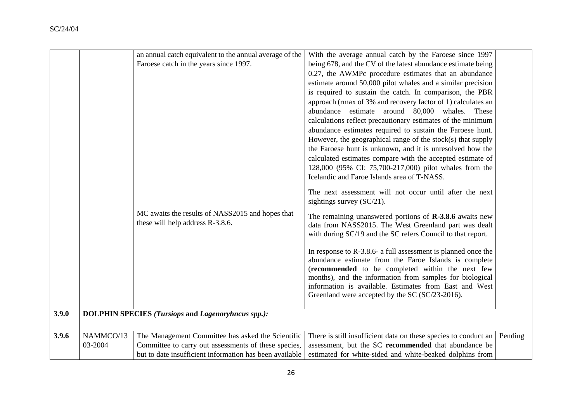|       |           | an annual catch equivalent to the annual average of the                              | With the average annual catch by the Faroese since 1997                                                                                                                                                                                                                                                                                             |         |
|-------|-----------|--------------------------------------------------------------------------------------|-----------------------------------------------------------------------------------------------------------------------------------------------------------------------------------------------------------------------------------------------------------------------------------------------------------------------------------------------------|---------|
|       |           | Faroese catch in the years since 1997.                                               | being 678, and the CV of the latest abundance estimate being                                                                                                                                                                                                                                                                                        |         |
|       |           |                                                                                      | 0.27, the AWMPc procedure estimates that an abundance                                                                                                                                                                                                                                                                                               |         |
|       |           |                                                                                      | estimate around 50,000 pilot whales and a similar precision                                                                                                                                                                                                                                                                                         |         |
|       |           |                                                                                      | is required to sustain the catch. In comparison, the PBR                                                                                                                                                                                                                                                                                            |         |
|       |           |                                                                                      | approach (rmax of 3% and recovery factor of 1) calculates an                                                                                                                                                                                                                                                                                        |         |
|       |           |                                                                                      | abundance estimate around 80,000 whales. These                                                                                                                                                                                                                                                                                                      |         |
|       |           |                                                                                      | calculations reflect precautionary estimates of the minimum                                                                                                                                                                                                                                                                                         |         |
|       |           |                                                                                      | abundance estimates required to sustain the Faroese hunt.                                                                                                                                                                                                                                                                                           |         |
|       |           |                                                                                      | However, the geographical range of the stock(s) that supply                                                                                                                                                                                                                                                                                         |         |
|       |           |                                                                                      | the Faroese hunt is unknown, and it is unresolved how the                                                                                                                                                                                                                                                                                           |         |
|       |           |                                                                                      | calculated estimates compare with the accepted estimate of                                                                                                                                                                                                                                                                                          |         |
|       |           |                                                                                      | 128,000 (95% CI: 75,700-217,000) pilot whales from the                                                                                                                                                                                                                                                                                              |         |
|       |           |                                                                                      | Icelandic and Faroe Islands area of T-NASS.                                                                                                                                                                                                                                                                                                         |         |
|       |           |                                                                                      | The next assessment will not occur until after the next                                                                                                                                                                                                                                                                                             |         |
|       |           |                                                                                      | sightings survey (SC/21).                                                                                                                                                                                                                                                                                                                           |         |
|       |           | MC awaits the results of NASS2015 and hopes that<br>these will help address R-3.8.6. | The remaining unanswered portions of $R-3.8.6$ awaits new<br>data from NASS2015. The West Greenland part was dealt<br>with during SC/19 and the SC refers Council to that report.                                                                                                                                                                   |         |
|       |           |                                                                                      | In response to R-3.8.6- a full assessment is planned once the<br>abundance estimate from the Faroe Islands is complete<br>(recommended to be completed within the next few<br>months), and the information from samples for biological<br>information is available. Estimates from East and West<br>Greenland were accepted by the SC (SC/23-2016). |         |
| 3.9.0 |           | <b>DOLPHIN SPECIES (Tursiops and Lagenoryhncus spp.):</b>                            |                                                                                                                                                                                                                                                                                                                                                     |         |
|       |           |                                                                                      |                                                                                                                                                                                                                                                                                                                                                     |         |
|       |           |                                                                                      |                                                                                                                                                                                                                                                                                                                                                     |         |
| 3.9.6 | NAMMCO/13 | The Management Committee has asked the Scientific                                    | There is still insufficient data on these species to conduct an                                                                                                                                                                                                                                                                                     | Pending |
|       | 03-2004   | Committee to carry out assessments of these species,                                 | assessment, but the SC recommended that abundance be                                                                                                                                                                                                                                                                                                |         |
|       |           | but to date insufficient information has been available                              | estimated for white-sided and white-beaked dolphins from                                                                                                                                                                                                                                                                                            |         |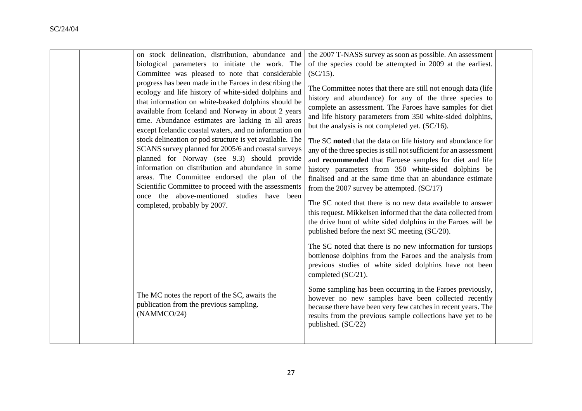|  | on stock delineation, distribution, abundance and        | the 2007 T-NASS survey as soon as possible. An assessment                                                                     |  |
|--|----------------------------------------------------------|-------------------------------------------------------------------------------------------------------------------------------|--|
|  | biological parameters to initiate the work. The          | of the species could be attempted in 2009 at the earliest.                                                                    |  |
|  | Committee was pleased to note that considerable          | $(SC/15)$ .                                                                                                                   |  |
|  | progress has been made in the Faroes in describing the   | The Committee notes that there are still not enough data (life                                                                |  |
|  | ecology and life history of white-sided dolphins and     |                                                                                                                               |  |
|  | that information on white-beaked dolphins should be      | history and abundance) for any of the three species to                                                                        |  |
|  | available from Iceland and Norway in about 2 years       | complete an assessment. The Faroes have samples for diet                                                                      |  |
|  | time. Abundance estimates are lacking in all areas       | and life history parameters from 350 white-sided dolphins,                                                                    |  |
|  | except Icelandic coastal waters, and no information on   | but the analysis is not completed yet. (SC/16).                                                                               |  |
|  | stock delineation or pod structure is yet available. The | The SC noted that the data on life history and abundance for                                                                  |  |
|  | SCANS survey planned for 2005/6 and coastal surveys      | any of the three species is still not sufficient for an assessment                                                            |  |
|  | planned for Norway (see 9.3) should provide              | and recommended that Faroese samples for diet and life                                                                        |  |
|  | information on distribution and abundance in some        | history parameters from 350 white-sided dolphins be                                                                           |  |
|  | areas. The Committee endorsed the plan of the            | finalised and at the same time that an abundance estimate                                                                     |  |
|  | Scientific Committee to proceed with the assessments     | from the 2007 survey be attempted. $(SC/17)$                                                                                  |  |
|  | once the above-mentioned studies have been               |                                                                                                                               |  |
|  | completed, probably by 2007.                             | The SC noted that there is no new data available to answer                                                                    |  |
|  |                                                          | this request. Mikkelsen informed that the data collected from<br>the drive hunt of white sided dolphins in the Faroes will be |  |
|  |                                                          | published before the next SC meeting (SC/20).                                                                                 |  |
|  |                                                          |                                                                                                                               |  |
|  |                                                          | The SC noted that there is no new information for tursiops                                                                    |  |
|  |                                                          | bottlenose dolphins from the Faroes and the analysis from                                                                     |  |
|  |                                                          | previous studies of white sided dolphins have not been                                                                        |  |
|  |                                                          | completed (SC/21).                                                                                                            |  |
|  |                                                          | Some sampling has been occurring in the Faroes previously,                                                                    |  |
|  | The MC notes the report of the SC, awaits the            | however no new samples have been collected recently                                                                           |  |
|  | publication from the previous sampling.                  | because there have been very few catches in recent years. The                                                                 |  |
|  | (NAMMCO/24)                                              | results from the previous sample collections have yet to be                                                                   |  |
|  |                                                          | published. (SC/22)                                                                                                            |  |
|  |                                                          |                                                                                                                               |  |
|  |                                                          |                                                                                                                               |  |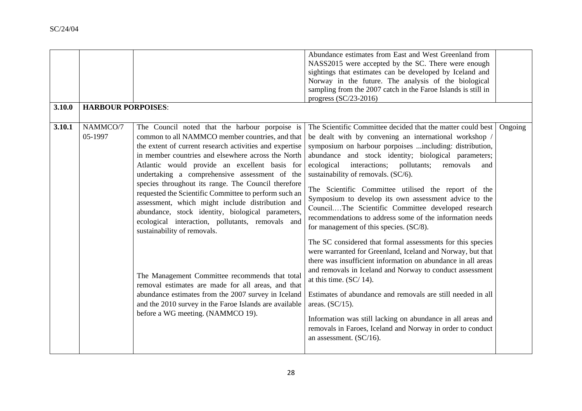| 3.10.0 | <b>HARBOUR PORPOISES:</b> |                                                                                                                                                                                                                                                                                                                                                                                                                                                                                                                                                                                                                                                                                                                                                                                                                                                                                                | Abundance estimates from East and West Greenland from<br>NASS2015 were accepted by the SC. There were enough<br>sightings that estimates can be developed by Iceland and<br>Norway in the future. The analysis of the biological<br>sampling from the 2007 catch in the Faroe Islands is still in<br>progress $(SC/23-2016)$                                                                                                                                                                                                                                                                                                                                                                                                                                                                                                                                                                                                                                                                                                                                                                                                                                     |         |
|--------|---------------------------|------------------------------------------------------------------------------------------------------------------------------------------------------------------------------------------------------------------------------------------------------------------------------------------------------------------------------------------------------------------------------------------------------------------------------------------------------------------------------------------------------------------------------------------------------------------------------------------------------------------------------------------------------------------------------------------------------------------------------------------------------------------------------------------------------------------------------------------------------------------------------------------------|------------------------------------------------------------------------------------------------------------------------------------------------------------------------------------------------------------------------------------------------------------------------------------------------------------------------------------------------------------------------------------------------------------------------------------------------------------------------------------------------------------------------------------------------------------------------------------------------------------------------------------------------------------------------------------------------------------------------------------------------------------------------------------------------------------------------------------------------------------------------------------------------------------------------------------------------------------------------------------------------------------------------------------------------------------------------------------------------------------------------------------------------------------------|---------|
| 3.10.1 | NAMMCO/7<br>05-1997       | The Council noted that the harbour porpoise is<br>common to all NAMMCO member countries, and that<br>the extent of current research activities and expertise<br>in member countries and elsewhere across the North<br>Atlantic would provide an excellent basis for<br>undertaking a comprehensive assessment of the<br>species throughout its range. The Council therefore<br>requested the Scientific Committee to perform such an<br>assessment, which might include distribution and<br>abundance, stock identity, biological parameters,<br>ecological interaction, pollutants, removals and<br>sustainability of removals.<br>The Management Committee recommends that total<br>removal estimates are made for all areas, and that<br>abundance estimates from the 2007 survey in Iceland<br>and the 2010 survey in the Faroe Islands are available<br>before a WG meeting. (NAMMCO 19). | The Scientific Committee decided that the matter could best<br>be dealt with by convening an international workshop /<br>symposium on harbour porpoises  including: distribution,<br>abundance and stock identity; biological parameters;<br>ecological<br>interactions; pollutants;<br>removals<br>and<br>sustainability of removals. (SC/6).<br>The Scientific Committee utilised the report of the<br>Symposium to develop its own assessment advice to the<br>CouncilThe Scientific Committee developed research<br>recommendations to address some of the information needs<br>for management of this species. (SC/8).<br>The SC considered that formal assessments for this species<br>were warranted for Greenland, Iceland and Norway, but that<br>there was insufficient information on abundance in all areas<br>and removals in Iceland and Norway to conduct assessment<br>at this time. $(SC/14)$ .<br>Estimates of abundance and removals are still needed in all<br>areas. $(SC/15)$ .<br>Information was still lacking on abundance in all areas and<br>removals in Faroes, Iceland and Norway in order to conduct<br>an assessment. $(SC/16)$ . | Ongoing |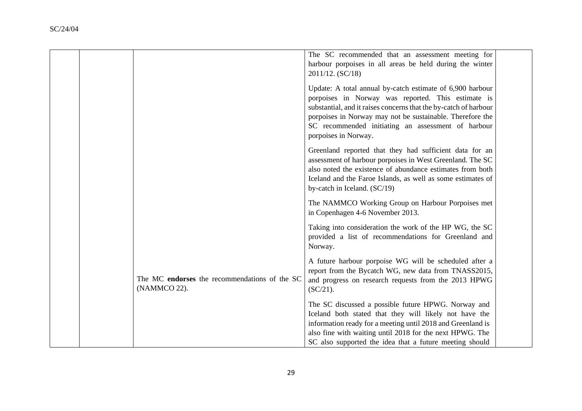|  |                                                               | The SC recommended that an assessment meeting for<br>harbour porpoises in all areas be held during the winter<br>2011/12. (SC/18)                                                                                                                                                                                              |  |
|--|---------------------------------------------------------------|--------------------------------------------------------------------------------------------------------------------------------------------------------------------------------------------------------------------------------------------------------------------------------------------------------------------------------|--|
|  |                                                               | Update: A total annual by-catch estimate of 6,900 harbour<br>porpoises in Norway was reported. This estimate is<br>substantial, and it raises concerns that the by-catch of harbour<br>porpoises in Norway may not be sustainable. Therefore the<br>SC recommended initiating an assessment of harbour<br>porpoises in Norway. |  |
|  |                                                               | Greenland reported that they had sufficient data for an<br>assessment of harbour porpoises in West Greenland. The SC<br>also noted the existence of abundance estimates from both<br>Iceland and the Faroe Islands, as well as some estimates of<br>by-catch in Iceland. (SC/19)                                               |  |
|  |                                                               | The NAMMCO Working Group on Harbour Porpoises met<br>in Copenhagen 4-6 November 2013.                                                                                                                                                                                                                                          |  |
|  |                                                               | Taking into consideration the work of the HP WG, the SC<br>provided a list of recommendations for Greenland and<br>Norway.                                                                                                                                                                                                     |  |
|  | The MC endorses the recommendations of the SC<br>(NAMMCO 22). | A future harbour porpoise WG will be scheduled after a<br>report from the Bycatch WG, new data from TNASS2015,<br>and progress on research requests from the 2013 HPWG<br>$(SC/21)$ .                                                                                                                                          |  |
|  |                                                               | The SC discussed a possible future HPWG. Norway and<br>Iceland both stated that they will likely not have the<br>information ready for a meeting until 2018 and Greenland is<br>also fine with waiting until 2018 for the next HPWG. The<br>SC also supported the idea that a future meeting should                            |  |